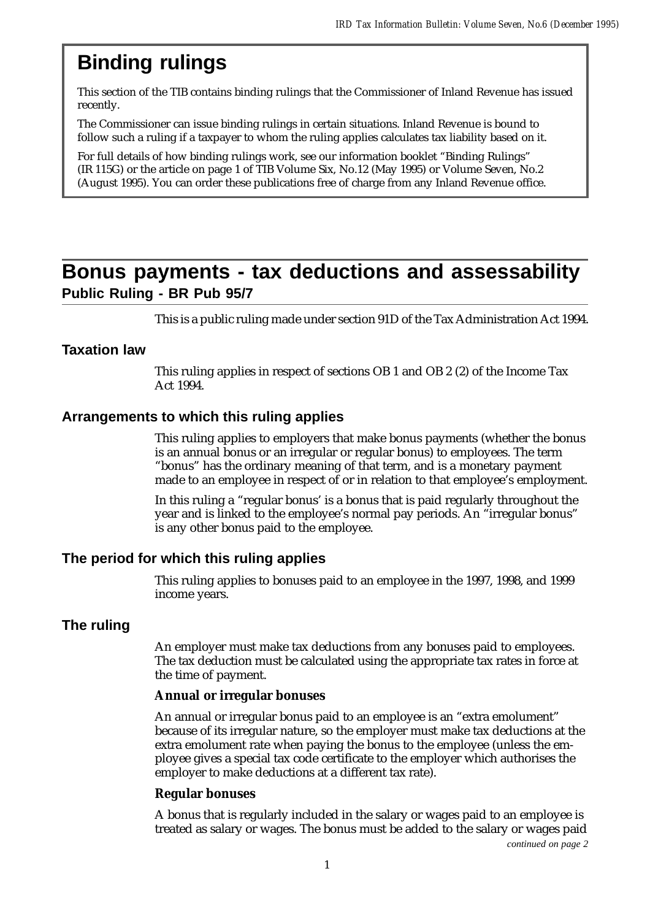## **Binding rulings**

This section of the TIB contains binding rulings that the Commissioner of Inland Revenue has issued recently.

The Commissioner can issue binding rulings in certain situations. Inland Revenue is bound to follow such a ruling if a taxpayer to whom the ruling applies calculates tax liability based on it.

For full details of how binding rulings work, see our information booklet "Binding Rulings" (IR 115G) or the article on page 1 of TIB Volume Six, No.12 (May 1995) or Volume Seven, No.2 (August 1995). You can order these publications free of charge from any Inland Revenue office.

## **Bonus payments - tax deductions and assessability Public Ruling - BR Pub 95/7**

This is a public ruling made under section 91D of the Tax Administration Act 1994.

### **Taxation law**

This ruling applies in respect of sections OB 1 and OB 2 (2) of the Income Tax Act 1994.

### **Arrangements to which this ruling applies**

This ruling applies to employers that make bonus payments (whether the bonus is an annual bonus or an irregular or regular bonus) to employees. The term "bonus" has the ordinary meaning of that term, and is a monetary payment made to an employee in respect of or in relation to that employee's employment.

In this ruling a "regular bonus' is a bonus that is paid regularly throughout the year and is linked to the employee's normal pay periods. An "irregular bonus" is any other bonus paid to the employee.

### **The period for which this ruling applies**

This ruling applies to bonuses paid to an employee in the 1997, 1998, and 1999 income years.

## **The ruling**

An employer must make tax deductions from any bonuses paid to employees. The tax deduction must be calculated using the appropriate tax rates in force at the time of payment.

#### **Annual or irregular bonuses**

An annual or irregular bonus paid to an employee is an "extra emolument" because of its irregular nature, so the employer must make tax deductions at the extra emolument rate when paying the bonus to the employee (unless the employee gives a special tax code certificate to the employer which authorises the employer to make deductions at a different tax rate).

#### **Regular bonuses**

A bonus that is regularly included in the salary or wages paid to an employee is treated as salary or wages. The bonus must be added to the salary or wages paid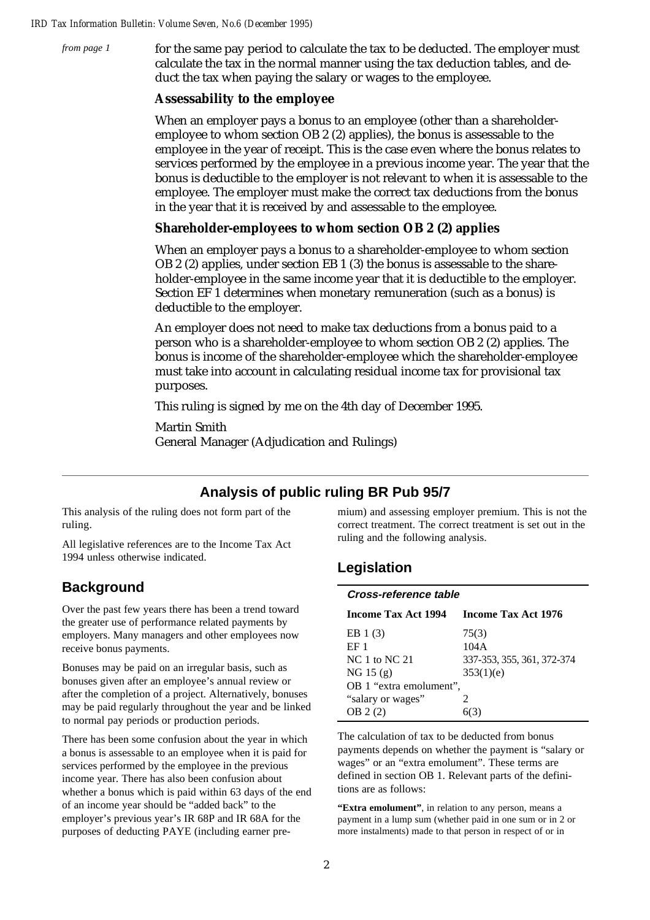*from page 1*

for the same pay period to calculate the tax to be deducted. The employer must calculate the tax in the normal manner using the tax deduction tables, and deduct the tax when paying the salary or wages to the employee.

### **Assessability to the employee**

When an employer pays a bonus to an employee (other than a shareholderemployee to whom section OB 2 (2) applies), the bonus is assessable to the employee in the year of receipt. This is the case even where the bonus relates to services performed by the employee in a previous income year. The year that the bonus is deductible to the employer is not relevant to when it is assessable to the employee. The employer must make the correct tax deductions from the bonus in the year that it is received by and assessable to the employee.

### **Shareholder-employees to whom section OB 2 (2) applies**

When an employer pays a bonus to a shareholder-employee to whom section OB 2 (2) applies, under section EB 1 (3) the bonus is assessable to the shareholder-employee in the same income year that it is deductible to the employer. Section EF 1 determines when monetary remuneration (such as a bonus) is deductible to the employer.

An employer does not need to make tax deductions from a bonus paid to a person who is a shareholder-employee to whom section OB 2 (2) applies. The bonus is income of the shareholder-employee which the shareholder-employee must take into account in calculating residual income tax for provisional tax purposes.

This ruling is signed by me on the 4th day of December 1995.

Martin Smith General Manager (Adjudication and Rulings)

## **Analysis of public ruling BR Pub 95/7**

This analysis of the ruling does not form part of the ruling.

All legislative references are to the Income Tax Act 1994 unless otherwise indicated.

## **Background**

Over the past few years there has been a trend toward the greater use of performance related payments by employers. Many managers and other employees now receive bonus payments.

Bonuses may be paid on an irregular basis, such as bonuses given after an employee's annual review or after the completion of a project. Alternatively, bonuses may be paid regularly throughout the year and be linked to normal pay periods or production periods.

There has been some confusion about the year in which a bonus is assessable to an employee when it is paid for services performed by the employee in the previous income year. There has also been confusion about whether a bonus which is paid within 63 days of the end of an income year should be "added back" to the employer's previous year's IR 68P and IR 68A for the purposes of deducting PAYE (including earner premium) and assessing employer premium. This is not the correct treatment. The correct treatment is set out in the ruling and the following analysis.

## **Legislation**

| Cross-reference table           |                            |  |
|---------------------------------|----------------------------|--|
| Income Tax Act 1994             | <b>Income Tax Act 1976</b> |  |
| EB $1(3)$                       | 75(3)                      |  |
| EF <sub>1</sub>                 | 104A                       |  |
| <b>NC</b> 1 to NC <sub>21</sub> | 337-353, 355, 361, 372-374 |  |
| NG 15 (g)                       | 353(1)(e)                  |  |
| OB 1 "extra emolument",         |                            |  |
| "salary or wages"               | 2                          |  |
| OB 2(2)                         |                            |  |

The calculation of tax to be deducted from bonus payments depends on whether the payment is "salary or wages" or an "extra emolument". These terms are defined in section OB 1. Relevant parts of the definitions are as follows:

**"Extra emolument"**, in relation to any person, means a payment in a lump sum (whether paid in one sum or in 2 or more instalments) made to that person in respect of or in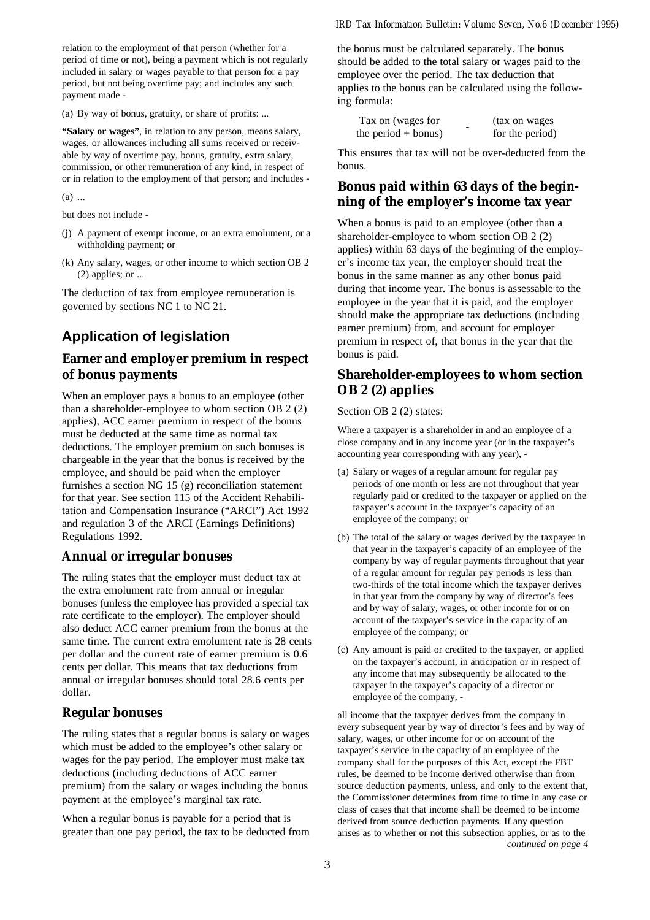relation to the employment of that person (whether for a period of time or not), being a payment which is not regularly included in salary or wages payable to that person for a pay period, but not being overtime pay; and includes any such payment made -

(a) By way of bonus, gratuity, or share of profits: ...

**"Salary or wages"**, in relation to any person, means salary, wages, or allowances including all sums received or receivable by way of overtime pay, bonus, gratuity, extra salary, commission, or other remuneration of any kind, in respect of or in relation to the employment of that person; and includes -

(a) ...

but does not include -

- (j) A payment of exempt income, or an extra emolument, or a withholding payment; or
- (k) Any salary, wages, or other income to which section OB 2 (2) applies; or ...

The deduction of tax from employee remuneration is governed by sections NC 1 to NC 21.

## **Application of legislation**

### **Earner and employer premium in respect of bonus payments**

When an employer pays a bonus to an employee (other than a shareholder-employee to whom section OB 2 (2) applies), ACC earner premium in respect of the bonus must be deducted at the same time as normal tax deductions. The employer premium on such bonuses is chargeable in the year that the bonus is received by the employee, and should be paid when the employer furnishes a section NG 15 (g) reconciliation statement for that year. See section 115 of the Accident Rehabilitation and Compensation Insurance ("ARCI") Act 1992 and regulation 3 of the ARCI (Earnings Definitions) Regulations 1992.

#### **Annual or irregular bonuses**

The ruling states that the employer must deduct tax at the extra emolument rate from annual or irregular bonuses (unless the employee has provided a special tax rate certificate to the employer). The employer should also deduct ACC earner premium from the bonus at the same time. The current extra emolument rate is 28 cents per dollar and the current rate of earner premium is 0.6 cents per dollar. This means that tax deductions from annual or irregular bonuses should total 28.6 cents per dollar.

#### **Regular bonuses**

The ruling states that a regular bonus is salary or wages which must be added to the employee's other salary or wages for the pay period. The employer must make tax deductions (including deductions of ACC earner premium) from the salary or wages including the bonus payment at the employee's marginal tax rate.

When a regular bonus is payable for a period that is greater than one pay period, the tax to be deducted from

the bonus must be calculated separately. The bonus should be added to the total salary or wages paid to the employee over the period. The tax deduction that applies to the bonus can be calculated using the following formula:

| Tax on (wages for     | (tax on wages)  |
|-----------------------|-----------------|
| the period $+$ bonus) | for the period) |

This ensures that tax will not be over-deducted from the bonus.

### **Bonus paid within 63 days of the beginning of the employer's income tax year**

When a bonus is paid to an employee (other than a shareholder-employee to whom section OB 2 (2) applies) within 63 days of the beginning of the employer's income tax year, the employer should treat the bonus in the same manner as any other bonus paid during that income year. The bonus is assessable to the employee in the year that it is paid, and the employer should make the appropriate tax deductions (including earner premium) from, and account for employer premium in respect of, that bonus in the year that the bonus is paid.

### **Shareholder-employees to whom section OB 2 (2) applies**

Section OB 2 (2) states:

Where a taxpayer is a shareholder in and an employee of a close company and in any income year (or in the taxpayer's accounting year corresponding with any year), -

- (a) Salary or wages of a regular amount for regular pay periods of one month or less are not throughout that year regularly paid or credited to the taxpayer or applied on the taxpayer's account in the taxpayer's capacity of an employee of the company; or
- (b) The total of the salary or wages derived by the taxpayer in that year in the taxpayer's capacity of an employee of the company by way of regular payments throughout that year of a regular amount for regular pay periods is less than two-thirds of the total income which the taxpayer derives in that year from the company by way of director's fees and by way of salary, wages, or other income for or on account of the taxpayer's service in the capacity of an employee of the company; or
- (c) Any amount is paid or credited to the taxpayer, or applied on the taxpayer's account, in anticipation or in respect of any income that may subsequently be allocated to the taxpayer in the taxpayer's capacity of a director or employee of the company, -

all income that the taxpayer derives from the company in every subsequent year by way of director's fees and by way of salary, wages, or other income for or on account of the taxpayer's service in the capacity of an employee of the company shall for the purposes of this Act, except the FBT rules, be deemed to be income derived otherwise than from source deduction payments, unless, and only to the extent that, the Commissioner determines from time to time in any case or class of cases that that income shall be deemed to be income derived from source deduction payments. If any question arises as to whether or not this subsection applies, or as to the *continued on page 4*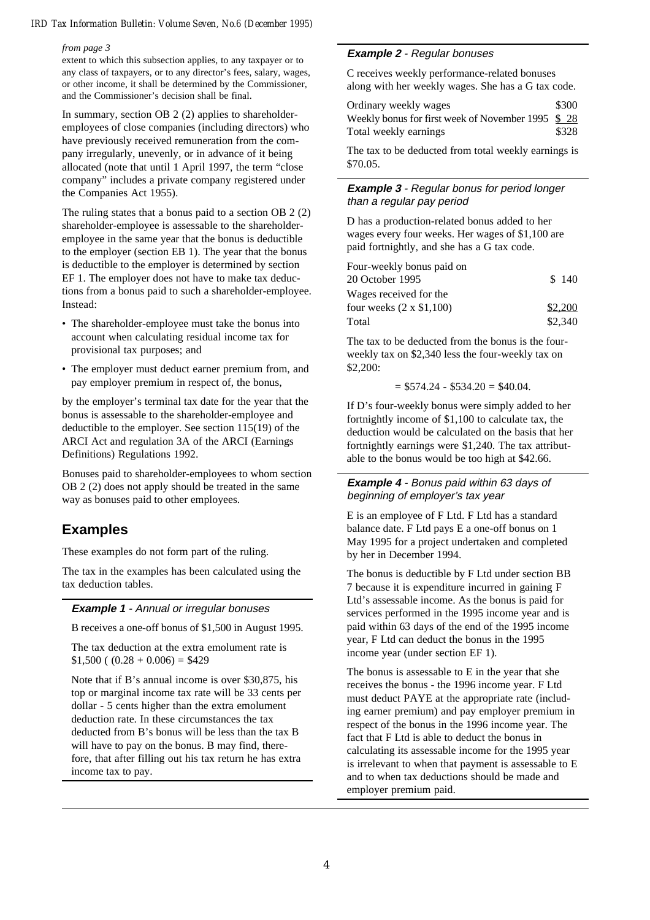#### *from page 3*

extent to which this subsection applies, to any taxpayer or to any class of taxpayers, or to any director's fees, salary, wages, or other income, it shall be determined by the Commissioner, and the Commissioner's decision shall be final.

In summary, section OB 2 (2) applies to shareholderemployees of close companies (including directors) who have previously received remuneration from the company irregularly, unevenly, or in advance of it being allocated (note that until 1 April 1997, the term "close company" includes a private company registered under the Companies Act 1955).

The ruling states that a bonus paid to a section OB 2 (2) shareholder-employee is assessable to the shareholderemployee in the same year that the bonus is deductible to the employer (section EB 1). The year that the bonus is deductible to the employer is determined by section EF 1. The employer does not have to make tax deductions from a bonus paid to such a shareholder-employee. Instead:

- The shareholder-employee must take the bonus into account when calculating residual income tax for provisional tax purposes; and
- The employer must deduct earner premium from, and pay employer premium in respect of, the bonus,

by the employer's terminal tax date for the year that the bonus is assessable to the shareholder-employee and deductible to the employer. See section 115(19) of the ARCI Act and regulation 3A of the ARCI (Earnings Definitions) Regulations 1992.

Bonuses paid to shareholder-employees to whom section OB 2 (2) does not apply should be treated in the same way as bonuses paid to other employees.

## **Examples**

These examples do not form part of the ruling.

The tax in the examples has been calculated using the tax deduction tables.

#### **Example 1** - Annual or irregular bonuses

B receives a one-off bonus of \$1,500 in August 1995.

The tax deduction at the extra emolument rate is  $$1,500 ((0.28 + 0.006) = $429$ 

Note that if B's annual income is over \$30,875, his top or marginal income tax rate will be 33 cents per dollar - 5 cents higher than the extra emolument deduction rate. In these circumstances the tax deducted from B's bonus will be less than the tax B will have to pay on the bonus. B may find, therefore, that after filling out his tax return he has extra income tax to pay.

#### **Example 2** - Regular bonuses

C receives weekly performance-related bonuses along with her weekly wages. She has a G tax code.

| Ordinary weekly wages                             | \$300 |
|---------------------------------------------------|-------|
| Weekly bonus for first week of November 1995 \$28 |       |
| Total weekly earnings                             | \$328 |

The tax to be deducted from total weekly earnings is \$70.05.

#### **Example 3** - Regular bonus for period longer than a regular pay period

D has a production-related bonus added to her wages every four weeks. Her wages of \$1,100 are paid fortnightly, and she has a G tax code.

| Four-weekly bonus paid on      |         |
|--------------------------------|---------|
| 20 October 1995                | \$140   |
| Wages received for the         |         |
| four weeks $(2 \times $1,100)$ | \$2,200 |
| Total                          | \$2,340 |

The tax to be deducted from the bonus is the fourweekly tax on \$2,340 less the four-weekly tax on \$2,200:

 $= $574.24 - $534.20 = $40.04.$ 

If D's four-weekly bonus were simply added to her fortnightly income of \$1,100 to calculate tax, the deduction would be calculated on the basis that her fortnightly earnings were \$1,240. The tax attributable to the bonus would be too high at \$42.66.

#### **Example 4** - Bonus paid within 63 days of beginning of employer's tax year

E is an employee of F Ltd. F Ltd has a standard balance date. F Ltd pays E a one-off bonus on 1 May 1995 for a project undertaken and completed by her in December 1994.

The bonus is deductible by F Ltd under section BB 7 because it is expenditure incurred in gaining F Ltd's assessable income. As the bonus is paid for services performed in the 1995 income year and is paid within 63 days of the end of the 1995 income year, F Ltd can deduct the bonus in the 1995 income year (under section EF 1).

The bonus is assessable to E in the year that she receives the bonus - the 1996 income year. F Ltd must deduct PAYE at the appropriate rate (including earner premium) and pay employer premium in respect of the bonus in the 1996 income year. The fact that F Ltd is able to deduct the bonus in calculating its assessable income for the 1995 year is irrelevant to when that payment is assessable to E and to when tax deductions should be made and employer premium paid.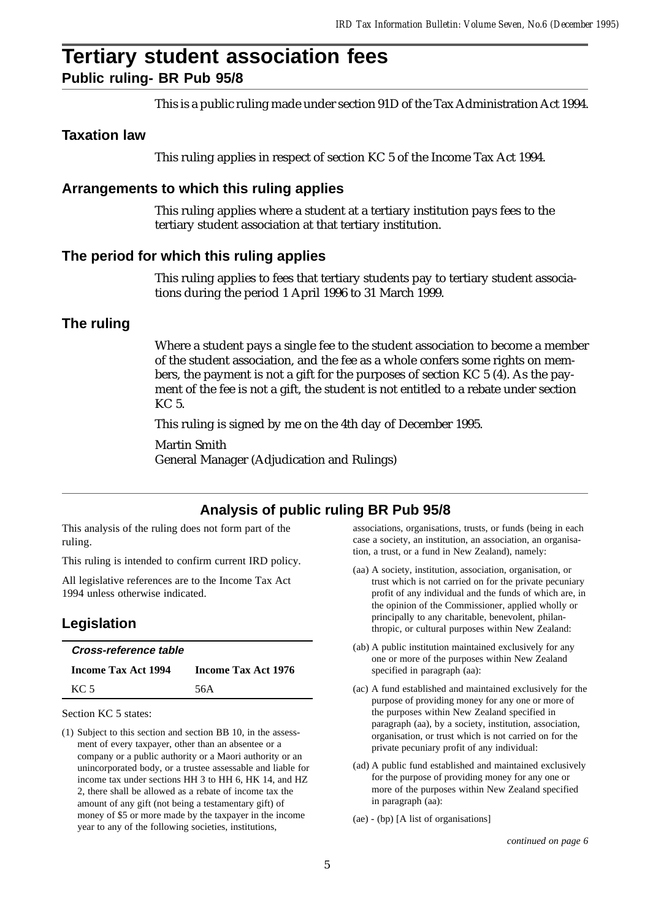# **Tertiary student association fees**

**Public ruling- BR Pub 95/8**

This is a public ruling made under section 91D of the Tax Administration Act 1994.

## **Taxation law**

This ruling applies in respect of section KC 5 of the Income Tax Act 1994.

### **Arrangements to which this ruling applies**

This ruling applies where a student at a tertiary institution pays fees to the tertiary student association at that tertiary institution.

### **The period for which this ruling applies**

This ruling applies to fees that tertiary students pay to tertiary student associations during the period 1 April 1996 to 31 March 1999.

## **The ruling**

Where a student pays a single fee to the student association to become a member of the student association, and the fee as a whole confers some rights on members, the payment is not a gift for the purposes of section KC 5 (4). As the payment of the fee is not a gift, the student is not entitled to a rebate under section KC 5.

This ruling is signed by me on the 4th day of December 1995.

Martin Smith General Manager (Adjudication and Rulings)

## **Analysis of public ruling BR Pub 95/8**

This analysis of the ruling does not form part of the ruling.

This ruling is intended to confirm current IRD policy.

All legislative references are to the Income Tax Act 1994 unless otherwise indicated.

## **Legislation**

| Cross-reference table      |                     |
|----------------------------|---------------------|
| <b>Income Tax Act 1994</b> | Income Tax Act 1976 |
| KC 5                       | 56A                 |

Section KC 5 states:

(1) Subject to this section and section BB 10, in the assessment of every taxpayer, other than an absentee or a company or a public authority or a Maori authority or an unincorporated body, or a trustee assessable and liable for income tax under sections HH 3 to HH 6, HK 14, and HZ 2, there shall be allowed as a rebate of income tax the amount of any gift (not being a testamentary gift) of money of \$5 or more made by the taxpayer in the income year to any of the following societies, institutions,

associations, organisations, trusts, or funds (being in each case a society, an institution, an association, an organisation, a trust, or a fund in New Zealand), namely:

- (aa) A society, institution, association, organisation, or trust which is not carried on for the private pecuniary profit of any individual and the funds of which are, in the opinion of the Commissioner, applied wholly or principally to any charitable, benevolent, philanthropic, or cultural purposes within New Zealand:
- (ab) A public institution maintained exclusively for any one or more of the purposes within New Zealand specified in paragraph (aa):
- (ac) A fund established and maintained exclusively for the purpose of providing money for any one or more of the purposes within New Zealand specified in paragraph (aa), by a society, institution, association, organisation, or trust which is not carried on for the private pecuniary profit of any individual:
- (ad) A public fund established and maintained exclusively for the purpose of providing money for any one or more of the purposes within New Zealand specified in paragraph (aa):
- (ae) (bp) [A list of organisations]

*continued on page 6*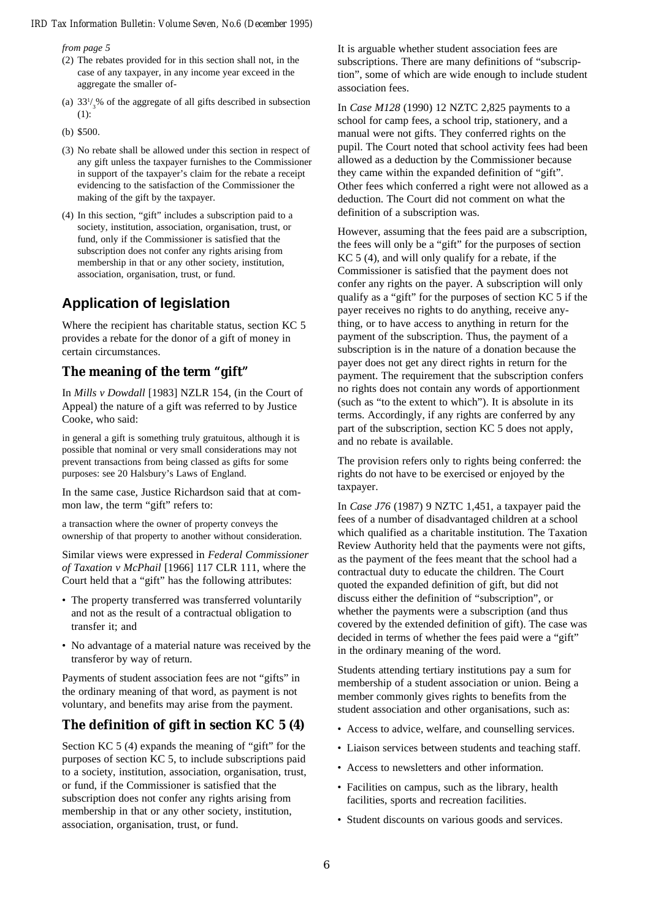*from page 5*

- (2) The rebates provided for in this section shall not, in the case of any taxpayer, in any income year exceed in the aggregate the smaller of-
- (a)  $33\frac{1}{3}$ % of the aggregate of all gifts described in subsection (1):
- (b) \$500.
- (3) No rebate shall be allowed under this section in respect of any gift unless the taxpayer furnishes to the Commissioner in support of the taxpayer's claim for the rebate a receipt evidencing to the satisfaction of the Commissioner the making of the gift by the taxpayer.
- (4) In this section, "gift" includes a subscription paid to a society, institution, association, organisation, trust, or fund, only if the Commissioner is satisfied that the subscription does not confer any rights arising from membership in that or any other society, institution, association, organisation, trust, or fund.

## **Application of legislation**

Where the recipient has charitable status, section KC 5 provides a rebate for the donor of a gift of money in certain circumstances.

## **The meaning of the term "gift"**

In *Mills v Dowdall* [1983] NZLR 154, (in the Court of Appeal) the nature of a gift was referred to by Justice Cooke, who said:

in general a gift is something truly gratuitous, although it is possible that nominal or very small considerations may not prevent transactions from being classed as gifts for some purposes: see 20 Halsbury's Laws of England.

In the same case, Justice Richardson said that at common law, the term "gift" refers to:

a transaction where the owner of property conveys the ownership of that property to another without consideration.

Similar views were expressed in *Federal Commissioner of Taxation v McPhail* [1966] 117 CLR 111, where the Court held that a "gift" has the following attributes:

- The property transferred was transferred voluntarily and not as the result of a contractual obligation to transfer it; and
- No advantage of a material nature was received by the transferor by way of return.

Payments of student association fees are not "gifts" in the ordinary meaning of that word, as payment is not voluntary, and benefits may arise from the payment.

## **The definition of gift in section KC 5 (4)**

Section KC 5 (4) expands the meaning of "gift" for the purposes of section KC 5, to include subscriptions paid to a society, institution, association, organisation, trust, or fund, if the Commissioner is satisfied that the subscription does not confer any rights arising from membership in that or any other society, institution, association, organisation, trust, or fund.

It is arguable whether student association fees are subscriptions. There are many definitions of "subscription", some of which are wide enough to include student association fees.

In *Case M128* (1990) 12 NZTC 2,825 payments to a school for camp fees, a school trip, stationery, and a manual were not gifts. They conferred rights on the pupil. The Court noted that school activity fees had been allowed as a deduction by the Commissioner because they came within the expanded definition of "gift". Other fees which conferred a right were not allowed as a deduction. The Court did not comment on what the definition of a subscription was.

However, assuming that the fees paid are a subscription, the fees will only be a "gift" for the purposes of section KC 5 (4), and will only qualify for a rebate, if the Commissioner is satisfied that the payment does not confer any rights on the payer. A subscription will only qualify as a "gift" for the purposes of section KC 5 if the payer receives no rights to do anything, receive anything, or to have access to anything in return for the payment of the subscription. Thus, the payment of a subscription is in the nature of a donation because the payer does not get any direct rights in return for the payment. The requirement that the subscription confers no rights does not contain any words of apportionment (such as "to the extent to which"). It is absolute in its terms. Accordingly, if any rights are conferred by any part of the subscription, section KC 5 does not apply, and no rebate is available.

The provision refers only to rights being conferred: the rights do not have to be exercised or enjoyed by the taxpayer.

In *Case J76* (1987) 9 NZTC 1,451, a taxpayer paid the fees of a number of disadvantaged children at a school which qualified as a charitable institution. The Taxation Review Authority held that the payments were not gifts, as the payment of the fees meant that the school had a contractual duty to educate the children. The Court quoted the expanded definition of gift, but did not discuss either the definition of "subscription", or whether the payments were a subscription (and thus covered by the extended definition of gift). The case was decided in terms of whether the fees paid were a "gift" in the ordinary meaning of the word.

Students attending tertiary institutions pay a sum for membership of a student association or union. Being a member commonly gives rights to benefits from the student association and other organisations, such as:

- Access to advice, welfare, and counselling services.
- Liaison services between students and teaching staff.
- Access to newsletters and other information.
- Facilities on campus, such as the library, health facilities, sports and recreation facilities.
- Student discounts on various goods and services.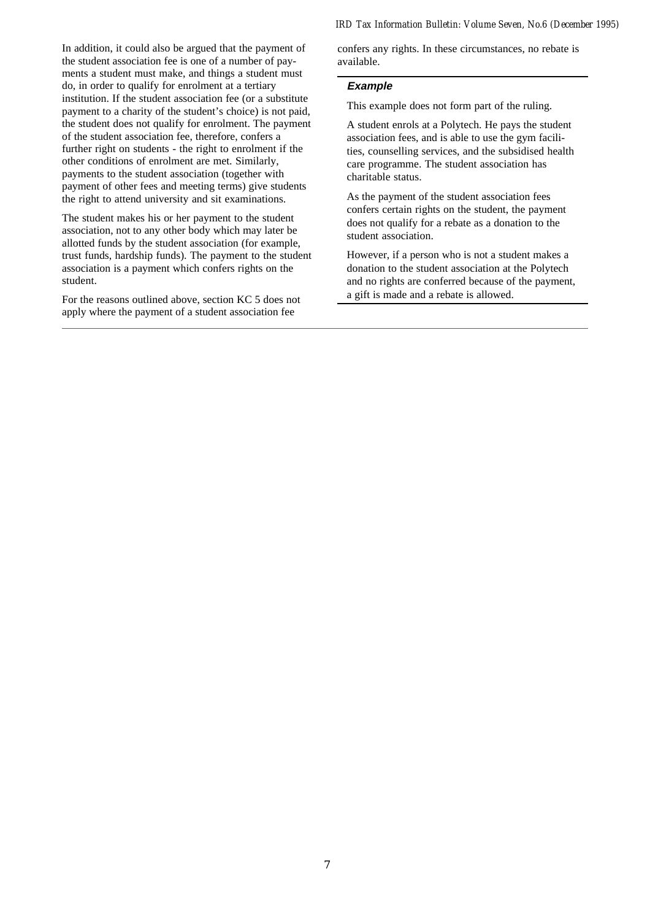In addition, it could also be argued that the payment of the student association fee is one of a number of payments a student must make, and things a student must do, in order to qualify for enrolment at a tertiary institution. If the student association fee (or a substitute payment to a charity of the student's choice) is not paid, the student does not qualify for enrolment. The payment of the student association fee, therefore, confers a further right on students - the right to enrolment if the other conditions of enrolment are met. Similarly, payments to the student association (together with payment of other fees and meeting terms) give students the right to attend university and sit examinations.

The student makes his or her payment to the student association, not to any other body which may later be allotted funds by the student association (for example, trust funds, hardship funds). The payment to the student association is a payment which confers rights on the student.

For the reasons outlined above, section KC 5 does not apply where the payment of a student association fee

confers any rights. In these circumstances, no rebate is available.

#### **Example**

This example does not form part of the ruling.

A student enrols at a Polytech. He pays the student association fees, and is able to use the gym facilities, counselling services, and the subsidised health care programme. The student association has charitable status.

As the payment of the student association fees confers certain rights on the student, the payment does not qualify for a rebate as a donation to the student association.

However, if a person who is not a student makes a donation to the student association at the Polytech and no rights are conferred because of the payment, a gift is made and a rebate is allowed.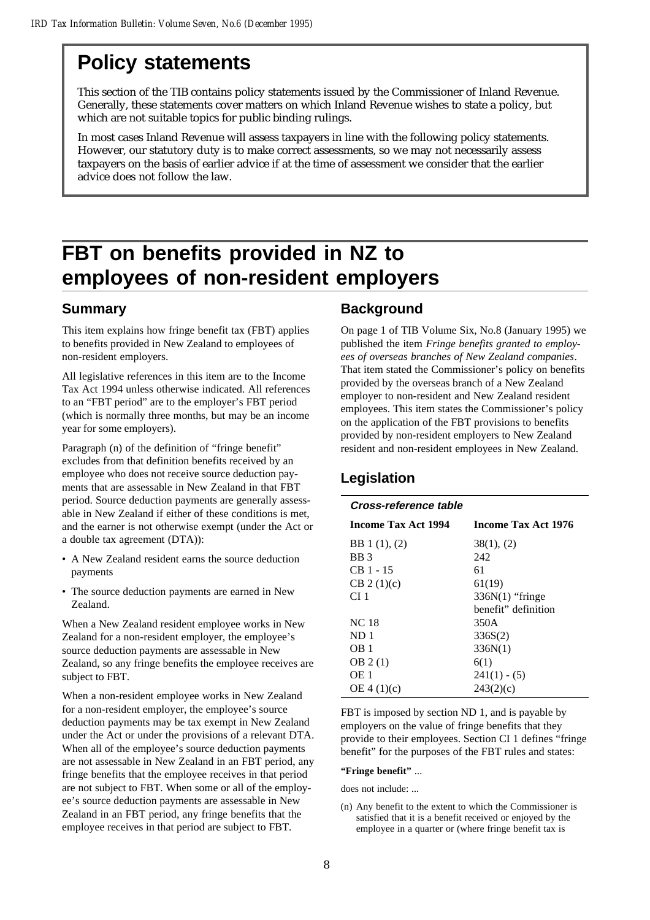## **Policy statements**

This section of the TIB contains policy statements issued by the Commissioner of Inland Revenue. Generally, these statements cover matters on which Inland Revenue wishes to state a policy, but which are not suitable topics for public binding rulings.

In most cases Inland Revenue will assess taxpayers in line with the following policy statements. However, our statutory duty is to make correct assessments, so we may not necessarily assess taxpayers on the basis of earlier advice if at the time of assessment we consider that the earlier advice does not follow the law.

## **FBT on benefits provided in NZ to employees of non-resident employers**

## **Summary**

This item explains how fringe benefit tax (FBT) applies to benefits provided in New Zealand to employees of non-resident employers.

All legislative references in this item are to the Income Tax Act 1994 unless otherwise indicated. All references to an "FBT period" are to the employer's FBT period (which is normally three months, but may be an income year for some employers).

Paragraph (n) of the definition of "fringe benefit" excludes from that definition benefits received by an employee who does not receive source deduction payments that are assessable in New Zealand in that FBT period. Source deduction payments are generally assessable in New Zealand if either of these conditions is met, and the earner is not otherwise exempt (under the Act or a double tax agreement (DTA)):

- A New Zealand resident earns the source deduction payments
- The source deduction payments are earned in New Zealand.

When a New Zealand resident employee works in New Zealand for a non-resident employer, the employee's source deduction payments are assessable in New Zealand, so any fringe benefits the employee receives are subject to FBT.

When a non-resident employee works in New Zealand for a non-resident employer, the employee's source deduction payments may be tax exempt in New Zealand under the Act or under the provisions of a relevant DTA. When all of the employee's source deduction payments are not assessable in New Zealand in an FBT period, any fringe benefits that the employee receives in that period are not subject to FBT. When some or all of the employee's source deduction payments are assessable in New Zealand in an FBT period, any fringe benefits that the employee receives in that period are subject to FBT.

## **Background**

On page 1 of TIB Volume Six, No.8 (January 1995) we published the item *Fringe benefits granted to employees of overseas branches of New Zealand companies*. That item stated the Commissioner's policy on benefits provided by the overseas branch of a New Zealand employer to non-resident and New Zealand resident employees. This item states the Commissioner's policy on the application of the FBT provisions to benefits provided by non-resident employers to New Zealand resident and non-resident employees in New Zealand.

## **Legislation**

| <i><b>Cross-reference table</b></i> |                     |
|-------------------------------------|---------------------|
| Income Tax Act 1994                 | Income Tax Act 1976 |
| BB 1 (1), (2)                       | 38(1), (2)          |
| BB <sub>3</sub>                     | 242                 |
| CB 1 - 15                           | 61                  |
| CB 2(1)(c)                          | 61(19)              |
| CI 1                                | 336N(1) "fringe     |
|                                     | henefit" definition |
| <b>NC</b> 18                        | 350A                |
| ND 1                                | 336S(2)             |
| OB 1                                | 336N(1)             |
| OB 2(1)                             | 6(1)                |
| OE 1                                | $241(1) - (5)$      |
| OE 4 (1)(c)                         | 243(2)(c)           |

FBT is imposed by section ND 1, and is payable by employers on the value of fringe benefits that they provide to their employees. Section CI 1 defines "fringe benefit" for the purposes of the FBT rules and states:

#### **"Fringe benefit"** ...

does not include: ...

(n) Any benefit to the extent to which the Commissioner is satisfied that it is a benefit received or enjoyed by the employee in a quarter or (where fringe benefit tax is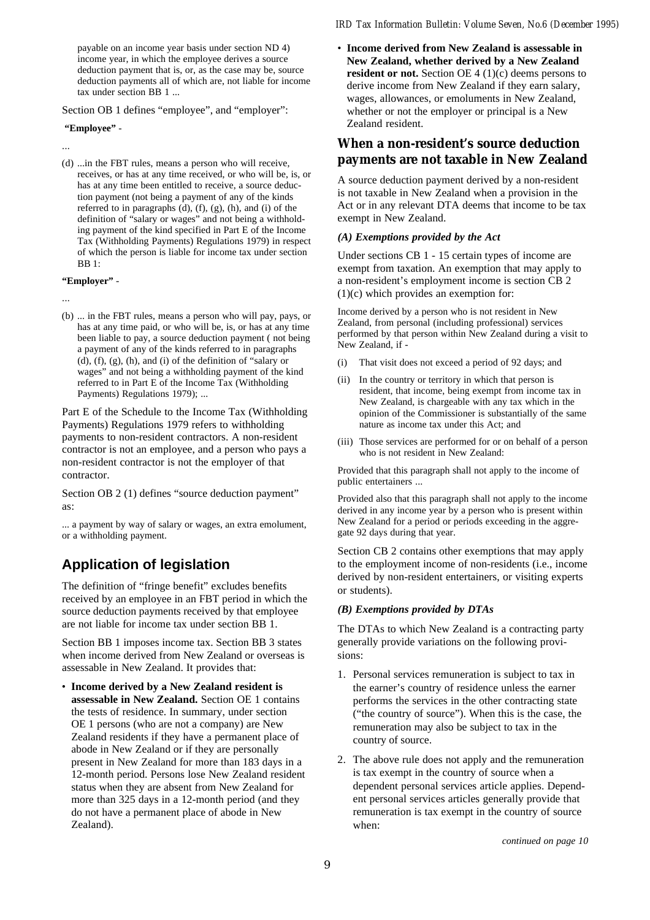payable on an income year basis under section ND 4) income year, in which the employee derives a source deduction payment that is, or, as the case may be, source deduction payments all of which are, not liable for income tax under section BB 1 ...

Section OB 1 defines "employee", and "employer":

#### **"Employee"** -

...

(d) ...in the FBT rules, means a person who will receive, receives, or has at any time received, or who will be, is, or has at any time been entitled to receive, a source deduction payment (not being a payment of any of the kinds referred to in paragraphs (d), (f), (g), (h), and (i) of the definition of "salary or wages" and not being a withholding payment of the kind specified in Part E of the Income Tax (Withholding Payments) Regulations 1979) in respect of which the person is liable for income tax under section BB 1:

**"Employer"** -

...

(b) ... in the FBT rules, means a person who will pay, pays, or has at any time paid, or who will be, is, or has at any time been liable to pay, a source deduction payment ( not being a payment of any of the kinds referred to in paragraphs (d), (f), (g), (h), and (i) of the definition of "salary or wages" and not being a withholding payment of the kind referred to in Part E of the Income Tax (Withholding Payments) Regulations 1979); ...

Part E of the Schedule to the Income Tax (Withholding Payments) Regulations 1979 refers to withholding payments to non-resident contractors. A non-resident contractor is not an employee, and a person who pays a non-resident contractor is not the employer of that contractor.

Section OB 2 (1) defines "source deduction payment" as:

... a payment by way of salary or wages, an extra emolument, or a withholding payment.

## **Application of legislation**

The definition of "fringe benefit" excludes benefits received by an employee in an FBT period in which the source deduction payments received by that employee are not liable for income tax under section BB 1.

Section BB 1 imposes income tax. Section BB 3 states when income derived from New Zealand or overseas is assessable in New Zealand. It provides that:

• **Income derived by a New Zealand resident is assessable in New Zealand.** Section OE 1 contains the tests of residence. In summary, under section OE 1 persons (who are not a company) are New Zealand residents if they have a permanent place of abode in New Zealand or if they are personally present in New Zealand for more than 183 days in a 12-month period. Persons lose New Zealand resident status when they are absent from New Zealand for more than 325 days in a 12-month period (and they do not have a permanent place of abode in New Zealand).

#### *IRD Tax Information Bulletin: Volume Seven, No.6 (December 1995)*

• **Income derived from New Zealand is assessable in New Zealand, whether derived by a New Zealand resident or not.** Section OE 4 (1)(c) deems persons to derive income from New Zealand if they earn salary, wages, allowances, or emoluments in New Zealand, whether or not the employer or principal is a New Zealand resident.

## **When a non-resident's source deduction payments are not taxable in New Zealand**

A source deduction payment derived by a non-resident is not taxable in New Zealand when a provision in the Act or in any relevant DTA deems that income to be tax exempt in New Zealand.

#### *(A) Exemptions provided by the Act*

Under sections CB 1 - 15 certain types of income are exempt from taxation. An exemption that may apply to a non-resident's employment income is section CB 2 (1)(c) which provides an exemption for:

Income derived by a person who is not resident in New Zealand, from personal (including professional) services performed by that person within New Zealand during a visit to New Zealand, if -

- (i) That visit does not exceed a period of 92 days; and
- (ii) In the country or territory in which that person is resident, that income, being exempt from income tax in New Zealand, is chargeable with any tax which in the opinion of the Commissioner is substantially of the same nature as income tax under this Act; and
- (iii) Those services are performed for or on behalf of a person who is not resident in New Zealand:

Provided that this paragraph shall not apply to the income of public entertainers ...

Provided also that this paragraph shall not apply to the income derived in any income year by a person who is present within New Zealand for a period or periods exceeding in the aggregate 92 days during that year.

Section CB 2 contains other exemptions that may apply to the employment income of non-residents (i.e., income derived by non-resident entertainers, or visiting experts or students).

#### *(B) Exemptions provided by DTAs*

The DTAs to which New Zealand is a contracting party generally provide variations on the following provisions:

- 1. Personal services remuneration is subject to tax in the earner's country of residence unless the earner performs the services in the other contracting state ("the country of source"). When this is the case, the remuneration may also be subject to tax in the country of source.
- 2. The above rule does not apply and the remuneration is tax exempt in the country of source when a dependent personal services article applies. Dependent personal services articles generally provide that remuneration is tax exempt in the country of source when: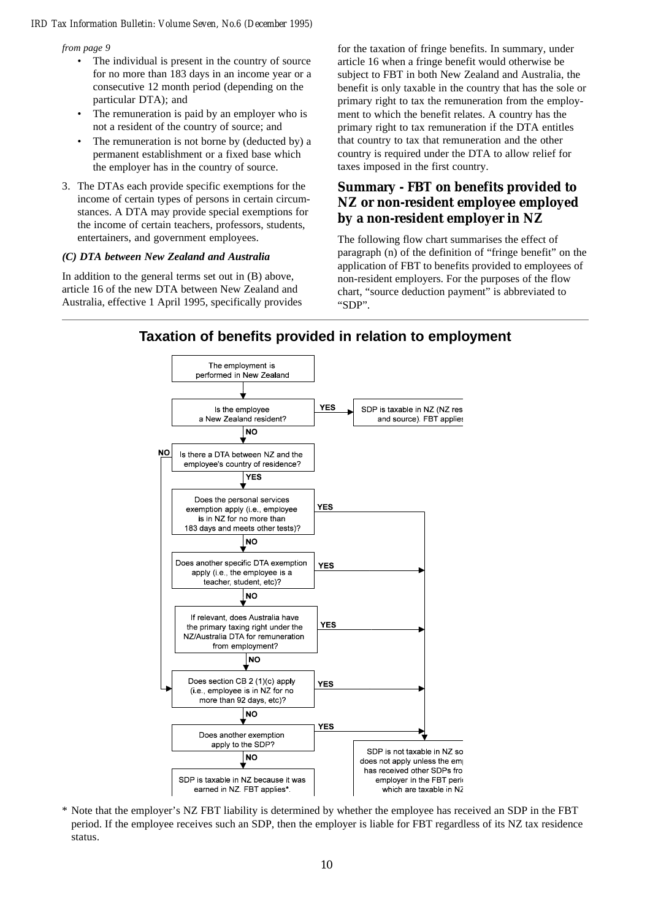*from page 9*

- The individual is present in the country of source for no more than 183 days in an income year or a consecutive 12 month period (depending on the particular DTA); and
- The remuneration is paid by an employer who is not a resident of the country of source; and
- The remuneration is not borne by (deducted by) a permanent establishment or a fixed base which the employer has in the country of source.
- 3. The DTAs each provide specific exemptions for the income of certain types of persons in certain circumstances. A DTA may provide special exemptions for the income of certain teachers, professors, students, entertainers, and government employees.

#### *(C) DTA between New Zealand and Australia*

In addition to the general terms set out in (B) above, article 16 of the new DTA between New Zealand and Australia, effective 1 April 1995, specifically provides

for the taxation of fringe benefits. In summary, under article 16 when a fringe benefit would otherwise be subject to FBT in both New Zealand and Australia, the benefit is only taxable in the country that has the sole or primary right to tax the remuneration from the employment to which the benefit relates. A country has the primary right to tax remuneration if the DTA entitles that country to tax that remuneration and the other country is required under the DTA to allow relief for taxes imposed in the first country.

## **Summary - FBT on benefits provided to NZ or non-resident employee employed by a non-resident employer in NZ**

The following flow chart summarises the effect of paragraph (n) of the definition of "fringe benefit" on the application of FBT to benefits provided to employees of non-resident employers. For the purposes of the flow chart, "source deduction payment" is abbreviated to "SDP".



## **Taxation of benefits provided in relation to employment**

\* Note that the employer's NZ FBT liability is determined by whether the employee has received an SDP in the FBT period. If the employee receives such an SDP, then the employer is liable for FBT regardless of its NZ tax residence status.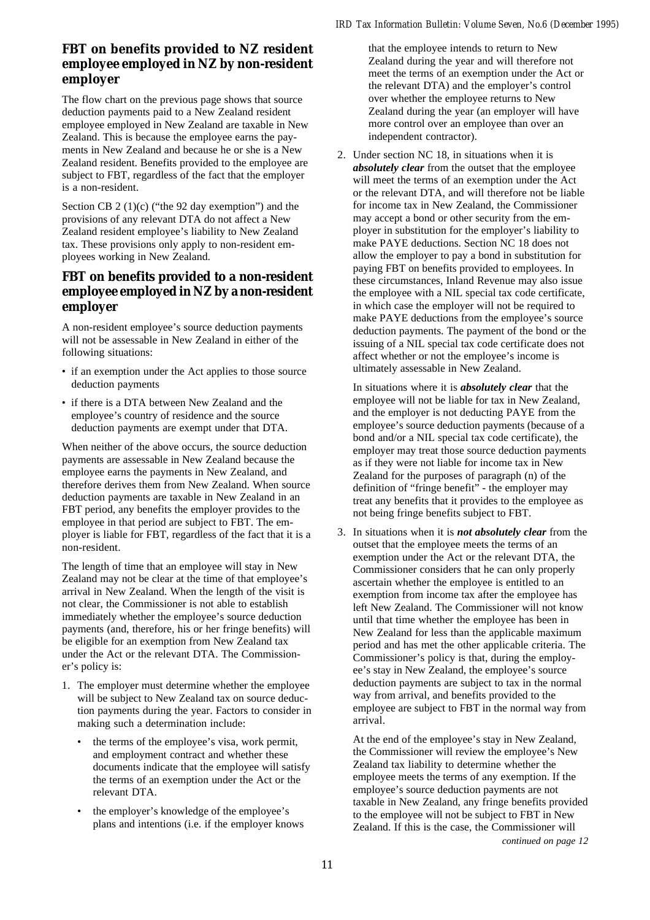## **FBT on benefits provided to NZ resident employee employed in NZ by non-resident employer**

The flow chart on the previous page shows that source deduction payments paid to a New Zealand resident employee employed in New Zealand are taxable in New Zealand. This is because the employee earns the payments in New Zealand and because he or she is a New Zealand resident. Benefits provided to the employee are subject to FBT, regardless of the fact that the employer is a non-resident.

Section CB 2 (1)(c) ("the 92 day exemption") and the provisions of any relevant DTA do not affect a New Zealand resident employee's liability to New Zealand tax. These provisions only apply to non-resident employees working in New Zealand.

## **FBT on benefits provided to a non-resident employee employed in NZ by a non-resident employer**

A non-resident employee's source deduction payments will not be assessable in New Zealand in either of the following situations:

- if an exemption under the Act applies to those source deduction payments
- if there is a DTA between New Zealand and the employee's country of residence and the source deduction payments are exempt under that DTA.

When neither of the above occurs, the source deduction payments are assessable in New Zealand because the employee earns the payments in New Zealand, and therefore derives them from New Zealand. When source deduction payments are taxable in New Zealand in an FBT period, any benefits the employer provides to the employee in that period are subject to FBT. The employer is liable for FBT, regardless of the fact that it is a non-resident.

The length of time that an employee will stay in New Zealand may not be clear at the time of that employee's arrival in New Zealand. When the length of the visit is not clear, the Commissioner is not able to establish immediately whether the employee's source deduction payments (and, therefore, his or her fringe benefits) will be eligible for an exemption from New Zealand tax under the Act or the relevant DTA. The Commissioner's policy is:

- 1. The employer must determine whether the employee will be subject to New Zealand tax on source deduction payments during the year. Factors to consider in making such a determination include:
	- the terms of the employee's visa, work permit, and employment contract and whether these documents indicate that the employee will satisfy the terms of an exemption under the Act or the relevant DTA.
	- the employer's knowledge of the employee's plans and intentions (i.e. if the employer knows

that the employee intends to return to New Zealand during the year and will therefore not meet the terms of an exemption under the Act or the relevant DTA) and the employer's control over whether the employee returns to New Zealand during the year (an employer will have more control over an employee than over an independent contractor).

2. Under section NC 18, in situations when it is *absolutely clear* from the outset that the employee will meet the terms of an exemption under the Act or the relevant DTA, and will therefore not be liable for income tax in New Zealand, the Commissioner may accept a bond or other security from the employer in substitution for the employer's liability to make PAYE deductions. Section NC 18 does not allow the employer to pay a bond in substitution for paying FBT on benefits provided to employees. In these circumstances, Inland Revenue may also issue the employee with a NIL special tax code certificate, in which case the employer will not be required to make PAYE deductions from the employee's source deduction payments. The payment of the bond or the issuing of a NIL special tax code certificate does not affect whether or not the employee's income is ultimately assessable in New Zealand.

In situations where it is *absolutely clear* that the employee will not be liable for tax in New Zealand, and the employer is not deducting PAYE from the employee's source deduction payments (because of a bond and/or a NIL special tax code certificate), the employer may treat those source deduction payments as if they were not liable for income tax in New Zealand for the purposes of paragraph (n) of the definition of "fringe benefit" - the employer may treat any benefits that it provides to the employee as not being fringe benefits subject to FBT.

3. In situations when it is *not absolutely clear* from the outset that the employee meets the terms of an exemption under the Act or the relevant DTA, the Commissioner considers that he can only properly ascertain whether the employee is entitled to an exemption from income tax after the employee has left New Zealand. The Commissioner will not know until that time whether the employee has been in New Zealand for less than the applicable maximum period and has met the other applicable criteria. The Commissioner's policy is that, during the employee's stay in New Zealand, the employee's source deduction payments are subject to tax in the normal way from arrival, and benefits provided to the employee are subject to FBT in the normal way from arrival.

At the end of the employee's stay in New Zealand, the Commissioner will review the employee's New Zealand tax liability to determine whether the employee meets the terms of any exemption. If the employee's source deduction payments are not taxable in New Zealand, any fringe benefits provided to the employee will not be subject to FBT in New Zealand. If this is the case, the Commissioner will

*continued on page 12*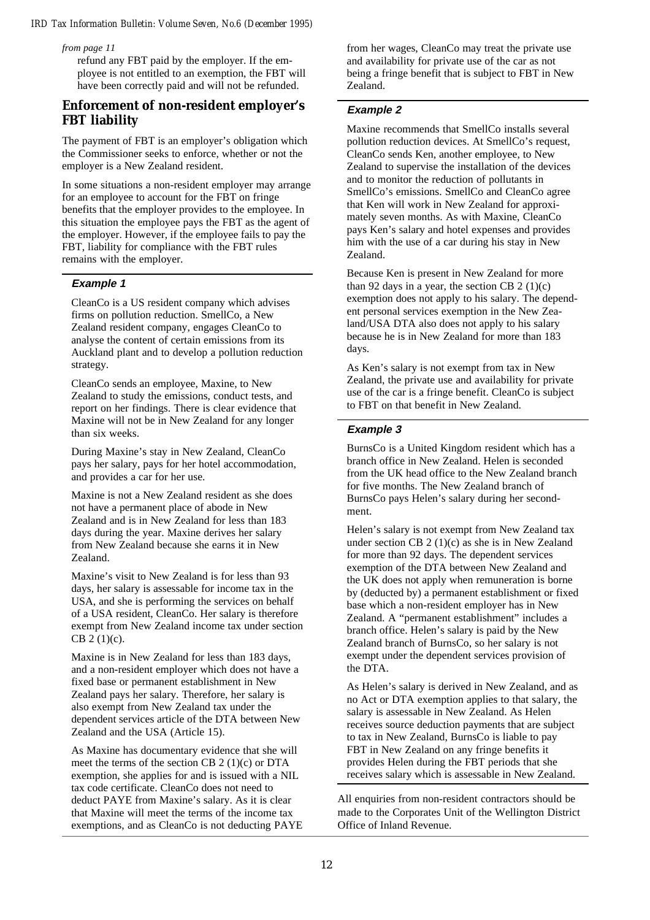*from page 11*

refund any FBT paid by the employer. If the employee is not entitled to an exemption, the FBT will have been correctly paid and will not be refunded.

## **Enforcement of non-resident employer's FBT liability**

The payment of FBT is an employer's obligation which the Commissioner seeks to enforce, whether or not the employer is a New Zealand resident.

In some situations a non-resident employer may arrange for an employee to account for the FBT on fringe benefits that the employer provides to the employee. In this situation the employee pays the FBT as the agent of the employer. However, if the employee fails to pay the FBT, liability for compliance with the FBT rules remains with the employer.

#### **Example 1**

CleanCo is a US resident company which advises firms on pollution reduction. SmellCo, a New Zealand resident company, engages CleanCo to analyse the content of certain emissions from its Auckland plant and to develop a pollution reduction strategy.

CleanCo sends an employee, Maxine, to New Zealand to study the emissions, conduct tests, and report on her findings. There is clear evidence that Maxine will not be in New Zealand for any longer than six weeks.

During Maxine's stay in New Zealand, CleanCo pays her salary, pays for her hotel accommodation, and provides a car for her use.

Maxine is not a New Zealand resident as she does not have a permanent place of abode in New Zealand and is in New Zealand for less than 183 days during the year. Maxine derives her salary from New Zealand because she earns it in New Zealand.

Maxine's visit to New Zealand is for less than 93 days, her salary is assessable for income tax in the USA, and she is performing the services on behalf of a USA resident, CleanCo. Her salary is therefore exempt from New Zealand income tax under section CB 2 (1)(c).

Maxine is in New Zealand for less than 183 days, and a non-resident employer which does not have a fixed base or permanent establishment in New Zealand pays her salary. Therefore, her salary is also exempt from New Zealand tax under the dependent services article of the DTA between New Zealand and the USA (Article 15).

As Maxine has documentary evidence that she will meet the terms of the section CB 2 (1)(c) or DTA exemption, she applies for and is issued with a NIL tax code certificate. CleanCo does not need to deduct PAYE from Maxine's salary. As it is clear that Maxine will meet the terms of the income tax exemptions, and as CleanCo is not deducting PAYE from her wages, CleanCo may treat the private use and availability for private use of the car as not being a fringe benefit that is subject to FBT in New Zealand.

#### **Example 2**

Maxine recommends that SmellCo installs several pollution reduction devices. At SmellCo's request, CleanCo sends Ken, another employee, to New Zealand to supervise the installation of the devices and to monitor the reduction of pollutants in SmellCo's emissions. SmellCo and CleanCo agree that Ken will work in New Zealand for approximately seven months. As with Maxine, CleanCo pays Ken's salary and hotel expenses and provides him with the use of a car during his stay in New Zealand.

Because Ken is present in New Zealand for more than 92 days in a year, the section CB  $2(1)(c)$ exemption does not apply to his salary. The dependent personal services exemption in the New Zealand/USA DTA also does not apply to his salary because he is in New Zealand for more than 183 days.

As Ken's salary is not exempt from tax in New Zealand, the private use and availability for private use of the car is a fringe benefit. CleanCo is subject to FBT on that benefit in New Zealand.

#### **Example 3**

BurnsCo is a United Kingdom resident which has a branch office in New Zealand. Helen is seconded from the UK head office to the New Zealand branch for five months. The New Zealand branch of BurnsCo pays Helen's salary during her secondment.

Helen's salary is not exempt from New Zealand tax under section CB 2 (1)(c) as she is in New Zealand for more than 92 days. The dependent services exemption of the DTA between New Zealand and the UK does not apply when remuneration is borne by (deducted by) a permanent establishment or fixed base which a non-resident employer has in New Zealand. A "permanent establishment" includes a branch office. Helen's salary is paid by the New Zealand branch of BurnsCo, so her salary is not exempt under the dependent services provision of the DTA.

As Helen's salary is derived in New Zealand, and as no Act or DTA exemption applies to that salary, the salary is assessable in New Zealand. As Helen receives source deduction payments that are subject to tax in New Zealand, BurnsCo is liable to pay FBT in New Zealand on any fringe benefits it provides Helen during the FBT periods that she receives salary which is assessable in New Zealand.

All enquiries from non-resident contractors should be made to the Corporates Unit of the Wellington District Office of Inland Revenue.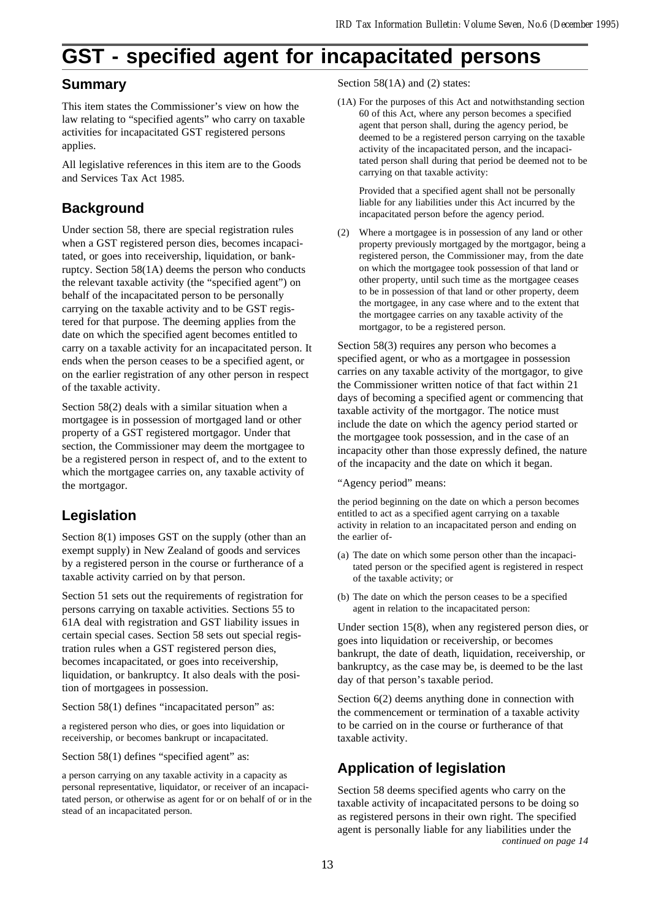## **GST - specified agent for incapacitated persons**

## **Summary**

This item states the Commissioner's view on how the law relating to "specified agents" who carry on taxable activities for incapacitated GST registered persons applies.

All legislative references in this item are to the Goods and Services Tax Act 1985.

## **Background**

Under section 58, there are special registration rules when a GST registered person dies, becomes incapacitated, or goes into receivership, liquidation, or bankruptcy. Section 58(1A) deems the person who conducts the relevant taxable activity (the "specified agent") on behalf of the incapacitated person to be personally carrying on the taxable activity and to be GST registered for that purpose. The deeming applies from the date on which the specified agent becomes entitled to carry on a taxable activity for an incapacitated person. It ends when the person ceases to be a specified agent, or on the earlier registration of any other person in respect of the taxable activity.

Section 58(2) deals with a similar situation when a mortgagee is in possession of mortgaged land or other property of a GST registered mortgagor. Under that section, the Commissioner may deem the mortgagee to be a registered person in respect of, and to the extent to which the mortgagee carries on, any taxable activity of the mortgagor.

## **Legislation**

Section 8(1) imposes GST on the supply (other than an exempt supply) in New Zealand of goods and services by a registered person in the course or furtherance of a taxable activity carried on by that person.

Section 51 sets out the requirements of registration for persons carrying on taxable activities. Sections 55 to 61A deal with registration and GST liability issues in certain special cases. Section 58 sets out special registration rules when a GST registered person dies, becomes incapacitated, or goes into receivership, liquidation, or bankruptcy. It also deals with the position of mortgagees in possession.

Section 58(1) defines "incapacitated person" as:

a registered person who dies, or goes into liquidation or receivership, or becomes bankrupt or incapacitated.

Section 58(1) defines "specified agent" as:

a person carrying on any taxable activity in a capacity as personal representative, liquidator, or receiver of an incapacitated person, or otherwise as agent for or on behalf of or in the stead of an incapacitated person.

Section 58(1A) and (2) states:

(1A) For the purposes of this Act and notwithstanding section 60 of this Act, where any person becomes a specified agent that person shall, during the agency period, be deemed to be a registered person carrying on the taxable activity of the incapacitated person, and the incapacitated person shall during that period be deemed not to be carrying on that taxable activity:

Provided that a specified agent shall not be personally liable for any liabilities under this Act incurred by the incapacitated person before the agency period.

(2) Where a mortgagee is in possession of any land or other property previously mortgaged by the mortgagor, being a registered person, the Commissioner may, from the date on which the mortgagee took possession of that land or other property, until such time as the mortgagee ceases to be in possession of that land or other property, deem the mortgagee, in any case where and to the extent that the mortgagee carries on any taxable activity of the mortgagor, to be a registered person.

Section 58(3) requires any person who becomes a specified agent, or who as a mortgagee in possession carries on any taxable activity of the mortgagor, to give the Commissioner written notice of that fact within 21 days of becoming a specified agent or commencing that taxable activity of the mortgagor. The notice must include the date on which the agency period started or the mortgagee took possession, and in the case of an incapacity other than those expressly defined, the nature of the incapacity and the date on which it began.

"Agency period" means:

the period beginning on the date on which a person becomes entitled to act as a specified agent carrying on a taxable activity in relation to an incapacitated person and ending on the earlier of-

- (a) The date on which some person other than the incapacitated person or the specified agent is registered in respect of the taxable activity; or
- (b) The date on which the person ceases to be a specified agent in relation to the incapacitated person:

Under section 15(8), when any registered person dies, or goes into liquidation or receivership, or becomes bankrupt, the date of death, liquidation, receivership, or bankruptcy, as the case may be, is deemed to be the last day of that person's taxable period.

Section 6(2) deems anything done in connection with the commencement or termination of a taxable activity to be carried on in the course or furtherance of that taxable activity.

## **Application of legislation**

Section 58 deems specified agents who carry on the taxable activity of incapacitated persons to be doing so as registered persons in their own right. The specified agent is personally liable for any liabilities under the *continued on page 14*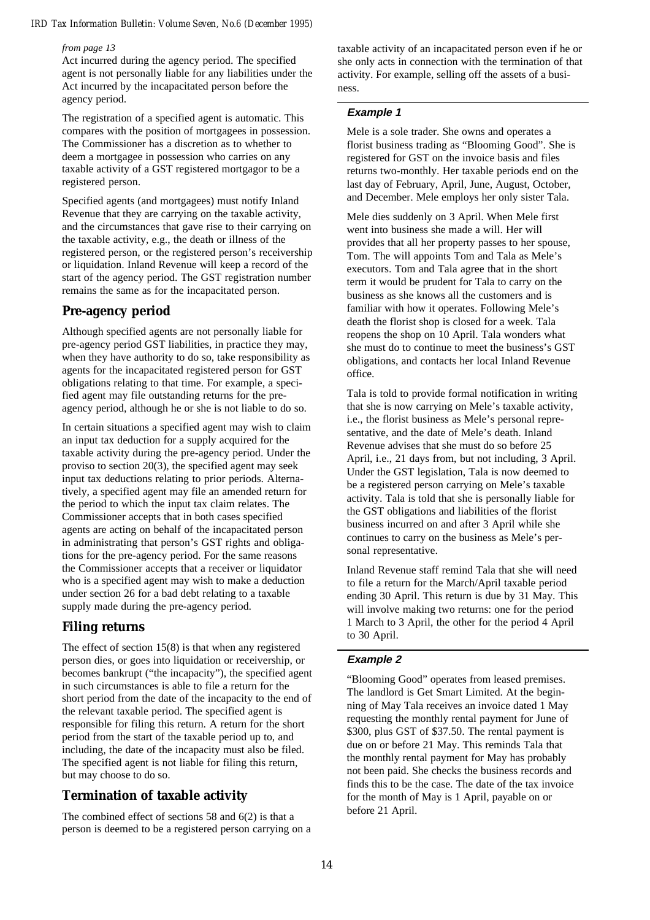#### *from page 13*

Act incurred during the agency period. The specified agent is not personally liable for any liabilities under the Act incurred by the incapacitated person before the agency period.

The registration of a specified agent is automatic. This compares with the position of mortgagees in possession. The Commissioner has a discretion as to whether to deem a mortgagee in possession who carries on any taxable activity of a GST registered mortgagor to be a registered person.

Specified agents (and mortgagees) must notify Inland Revenue that they are carrying on the taxable activity, and the circumstances that gave rise to their carrying on the taxable activity, e.g., the death or illness of the registered person, or the registered person's receivership or liquidation. Inland Revenue will keep a record of the start of the agency period. The GST registration number remains the same as for the incapacitated person.

#### **Pre-agency period**

Although specified agents are not personally liable for pre-agency period GST liabilities, in practice they may, when they have authority to do so, take responsibility as agents for the incapacitated registered person for GST obligations relating to that time. For example, a specified agent may file outstanding returns for the preagency period, although he or she is not liable to do so.

In certain situations a specified agent may wish to claim an input tax deduction for a supply acquired for the taxable activity during the pre-agency period. Under the proviso to section 20(3), the specified agent may seek input tax deductions relating to prior periods. Alternatively, a specified agent may file an amended return for the period to which the input tax claim relates. The Commissioner accepts that in both cases specified agents are acting on behalf of the incapacitated person in administrating that person's GST rights and obligations for the pre-agency period. For the same reasons the Commissioner accepts that a receiver or liquidator who is a specified agent may wish to make a deduction under section 26 for a bad debt relating to a taxable supply made during the pre-agency period.

#### **Filing returns**

The effect of section 15(8) is that when any registered person dies, or goes into liquidation or receivership, or becomes bankrupt ("the incapacity"), the specified agent in such circumstances is able to file a return for the short period from the date of the incapacity to the end of the relevant taxable period. The specified agent is responsible for filing this return. A return for the short period from the start of the taxable period up to, and including, the date of the incapacity must also be filed. The specified agent is not liable for filing this return, but may choose to do so.

#### **Termination of taxable activity**

The combined effect of sections 58 and 6(2) is that a person is deemed to be a registered person carrying on a

taxable activity of an incapacitated person even if he or she only acts in connection with the termination of that activity. For example, selling off the assets of a business.

#### **Example 1**

Mele is a sole trader. She owns and operates a florist business trading as "Blooming Good". She is registered for GST on the invoice basis and files returns two-monthly. Her taxable periods end on the last day of February, April, June, August, October, and December. Mele employs her only sister Tala.

Mele dies suddenly on 3 April. When Mele first went into business she made a will. Her will provides that all her property passes to her spouse, Tom. The will appoints Tom and Tala as Mele's executors. Tom and Tala agree that in the short term it would be prudent for Tala to carry on the business as she knows all the customers and is familiar with how it operates. Following Mele's death the florist shop is closed for a week. Tala reopens the shop on 10 April. Tala wonders what she must do to continue to meet the business's GST obligations, and contacts her local Inland Revenue office.

Tala is told to provide formal notification in writing that she is now carrying on Mele's taxable activity, i.e., the florist business as Mele's personal representative, and the date of Mele's death. Inland Revenue advises that she must do so before 25 April, i.e., 21 days from, but not including, 3 April. Under the GST legislation, Tala is now deemed to be a registered person carrying on Mele's taxable activity. Tala is told that she is personally liable for the GST obligations and liabilities of the florist business incurred on and after 3 April while she continues to carry on the business as Mele's personal representative.

Inland Revenue staff remind Tala that she will need to file a return for the March/April taxable period ending 30 April. This return is due by 31 May. This will involve making two returns: one for the period 1 March to 3 April, the other for the period 4 April to 30 April.

#### **Example 2**

"Blooming Good" operates from leased premises. The landlord is Get Smart Limited. At the beginning of May Tala receives an invoice dated 1 May requesting the monthly rental payment for June of \$300, plus GST of \$37.50. The rental payment is due on or before 21 May. This reminds Tala that the monthly rental payment for May has probably not been paid. She checks the business records and finds this to be the case. The date of the tax invoice for the month of May is 1 April, payable on or before 21 April.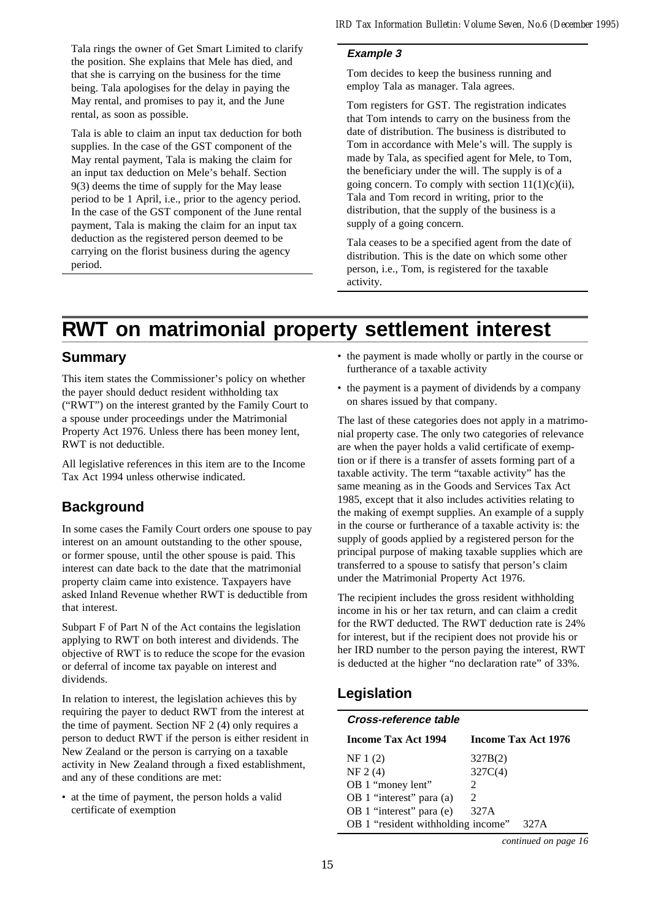Tala rings the owner of Get Smart Limited to clarify the position. She explains that Mele has died, and that she is carrying on the business for the time being. Tala apologises for the delay in paying the May rental, and promises to pay it, and the June rental, as soon as possible.

Tala is able to claim an input tax deduction for both supplies. In the case of the GST component of the May rental payment, Tala is making the claim for an input tax deduction on Mele's behalf. Section 9(3) deems the time of supply for the May lease period to be 1 April, i.e., prior to the agency period. In the case of the GST component of the June rental payment, Tala is making the claim for an input tax deduction as the registered person deemed to be carrying on the florist business during the agency period.

#### **Example 3**

Tom decides to keep the business running and employ Tala as manager. Tala agrees.

Tom registers for GST. The registration indicates that Tom intends to carry on the business from the date of distribution. The business is distributed to Tom in accordance with Mele's will. The supply is made by Tala, as specified agent for Mele, to Tom, the beneficiary under the will. The supply is of a going concern. To comply with section  $11(1)(c)(ii)$ , Tala and Tom record in writing, prior to the distribution, that the supply of the business is a supply of a going concern.

Tala ceases to be a specified agent from the date of distribution. This is the date on which some other person, i.e., Tom, is registered for the taxable activity.

## **RWT on matrimonial property settlement interest**

## **Summary**

This item states the Commissioner's policy on whether the payer should deduct resident withholding tax ("RWT") on the interest granted by the Family Court to a spouse under proceedings under the Matrimonial Property Act 1976. Unless there has been money lent, RWT is not deductible.

All legislative references in this item are to the Income Tax Act 1994 unless otherwise indicated.

## **Background**

In some cases the Family Court orders one spouse to pay interest on an amount outstanding to the other spouse, or former spouse, until the other spouse is paid. This interest can date back to the date that the matrimonial property claim came into existence. Taxpayers have asked Inland Revenue whether RWT is deductible from that interest.

Subpart F of Part N of the Act contains the legislation applying to RWT on both interest and dividends. The objective of RWT is to reduce the scope for the evasion or deferral of income tax payable on interest and dividends.

In relation to interest, the legislation achieves this by requiring the payer to deduct RWT from the interest at the time of payment. Section NF 2 (4) only requires a person to deduct RWT if the person is either resident in New Zealand or the person is carrying on a taxable activity in New Zealand through a fixed establishment, and any of these conditions are met:

• at the time of payment, the person holds a valid certificate of exemption

- the payment is made wholly or partly in the course or furtherance of a taxable activity
- the payment is a payment of dividends by a company on shares issued by that company.

The last of these categories does not apply in a matrimonial property case. The only two categories of relevance are when the payer holds a valid certificate of exemption or if there is a transfer of assets forming part of a taxable activity. The term "taxable activity" has the same meaning as in the Goods and Services Tax Act 1985, except that it also includes activities relating to the making of exempt supplies. An example of a supply in the course or furtherance of a taxable activity is: the supply of goods applied by a registered person for the principal purpose of making taxable supplies which are transferred to a spouse to satisfy that person's claim under the Matrimonial Property Act 1976.

The recipient includes the gross resident withholding income in his or her tax return, and can claim a credit for the RWT deducted. The RWT deduction rate is 24% for interest, but if the recipient does not provide his or her IRD number to the person paying the interest, RWT is deducted at the higher "no declaration rate" of 33%.

## **Legislation**

| Cross-reference table              |                             |
|------------------------------------|-----------------------------|
| <b>Income Tax Act 1994</b>         | Income Tax Act 1976         |
| NF 1(2)                            | 327B(2)                     |
| NF 2(4)                            | 327C(4)                     |
| OB 1 "money lent"                  | $\mathcal{D}_{\mathcal{L}}$ |
| OB 1 "interest" para (a)           | $\mathcal{D}_{\mathcal{A}}$ |
| OB 1 "interest" para (e)           | 327A                        |
| OB 1 "resident withholding income" | 327A                        |

*continued on page 16*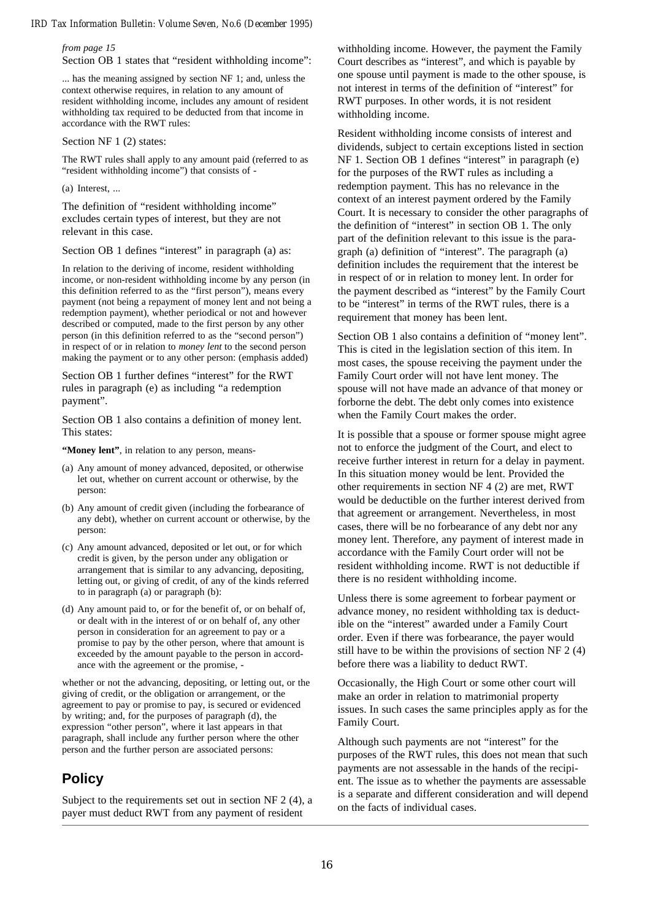#### *from page 15*

Section OB 1 states that "resident withholding income":

... has the meaning assigned by section NF 1; and, unless the context otherwise requires, in relation to any amount of resident withholding income, includes any amount of resident withholding tax required to be deducted from that income in accordance with the RWT rules:

#### Section NF 1 (2) states:

The RWT rules shall apply to any amount paid (referred to as "resident withholding income") that consists of -

#### (a) Interest, ...

The definition of "resident withholding income" excludes certain types of interest, but they are not relevant in this case.

Section OB 1 defines "interest" in paragraph (a) as:

In relation to the deriving of income, resident withholding income, or non-resident withholding income by any person (in this definition referred to as the "first person"), means every payment (not being a repayment of money lent and not being a redemption payment), whether periodical or not and however described or computed, made to the first person by any other person (in this definition referred to as the "second person") in respect of or in relation to *money lent* to the second person making the payment or to any other person: (emphasis added)

Section OB 1 further defines "interest" for the RWT rules in paragraph (e) as including "a redemption payment".

Section OB 1 also contains a definition of money lent. This states:

**"Money lent"**, in relation to any person, means-

- (a) Any amount of money advanced, deposited, or otherwise let out, whether on current account or otherwise, by the person:
- (b) Any amount of credit given (including the forbearance of any debt), whether on current account or otherwise, by the person:
- (c) Any amount advanced, deposited or let out, or for which credit is given, by the person under any obligation or arrangement that is similar to any advancing, depositing, letting out, or giving of credit, of any of the kinds referred to in paragraph (a) or paragraph (b):
- (d) Any amount paid to, or for the benefit of, or on behalf of, or dealt with in the interest of or on behalf of, any other person in consideration for an agreement to pay or a promise to pay by the other person, where that amount is exceeded by the amount payable to the person in accordance with the agreement or the promise, -

whether or not the advancing, depositing, or letting out, or the giving of credit, or the obligation or arrangement, or the agreement to pay or promise to pay, is secured or evidenced by writing; and, for the purposes of paragraph (d), the expression "other person", where it last appears in that paragraph, shall include any further person where the other person and the further person are associated persons:

## **Policy**

Subject to the requirements set out in section NF 2 (4), a payer must deduct RWT from any payment of resident

withholding income. However, the payment the Family Court describes as "interest", and which is payable by one spouse until payment is made to the other spouse, is not interest in terms of the definition of "interest" for RWT purposes. In other words, it is not resident withholding income.

Resident withholding income consists of interest and dividends, subject to certain exceptions listed in section NF 1. Section OB 1 defines "interest" in paragraph (e) for the purposes of the RWT rules as including a redemption payment. This has no relevance in the context of an interest payment ordered by the Family Court. It is necessary to consider the other paragraphs of the definition of "interest" in section OB 1. The only part of the definition relevant to this issue is the paragraph (a) definition of "interest". The paragraph (a) definition includes the requirement that the interest be in respect of or in relation to money lent. In order for the payment described as "interest" by the Family Court to be "interest" in terms of the RWT rules, there is a requirement that money has been lent.

Section OB 1 also contains a definition of "money lent". This is cited in the legislation section of this item. In most cases, the spouse receiving the payment under the Family Court order will not have lent money. The spouse will not have made an advance of that money or forborne the debt. The debt only comes into existence when the Family Court makes the order.

It is possible that a spouse or former spouse might agree not to enforce the judgment of the Court, and elect to receive further interest in return for a delay in payment. In this situation money would be lent. Provided the other requirements in section NF 4 (2) are met, RWT would be deductible on the further interest derived from that agreement or arrangement. Nevertheless, in most cases, there will be no forbearance of any debt nor any money lent. Therefore, any payment of interest made in accordance with the Family Court order will not be resident withholding income. RWT is not deductible if there is no resident withholding income.

Unless there is some agreement to forbear payment or advance money, no resident withholding tax is deductible on the "interest" awarded under a Family Court order. Even if there was forbearance, the payer would still have to be within the provisions of section NF 2 (4) before there was a liability to deduct RWT.

Occasionally, the High Court or some other court will make an order in relation to matrimonial property issues. In such cases the same principles apply as for the Family Court.

Although such payments are not "interest" for the purposes of the RWT rules, this does not mean that such payments are not assessable in the hands of the recipient. The issue as to whether the payments are assessable is a separate and different consideration and will depend on the facts of individual cases.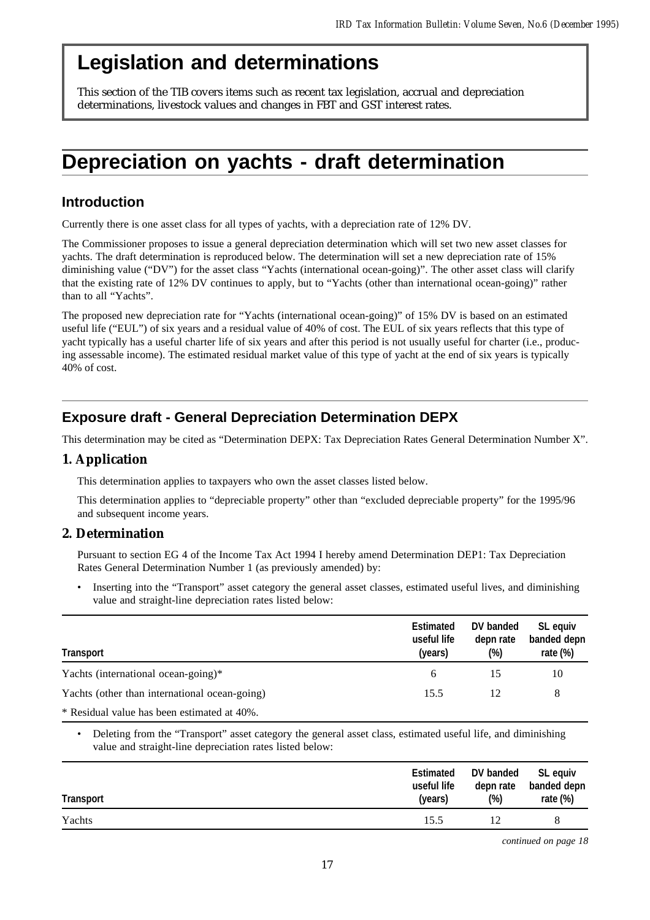## **Legislation and determinations**

This section of the TIB covers items such as recent tax legislation, accrual and depreciation determinations, livestock values and changes in FBT and GST interest rates.

## **Depreciation on yachts - draft determination**

## **Introduction**

Currently there is one asset class for all types of yachts, with a depreciation rate of 12% DV.

The Commissioner proposes to issue a general depreciation determination which will set two new asset classes for yachts. The draft determination is reproduced below. The determination will set a new depreciation rate of 15% diminishing value ("DV") for the asset class "Yachts (international ocean-going)". The other asset class will clarify that the existing rate of 12% DV continues to apply, but to "Yachts (other than international ocean-going)" rather than to all "Yachts".

The proposed new depreciation rate for "Yachts (international ocean-going)" of 15% DV is based on an estimated useful life ("EUL") of six years and a residual value of 40% of cost. The EUL of six years reflects that this type of yacht typically has a useful charter life of six years and after this period is not usually useful for charter (i.e., producing assessable income). The estimated residual market value of this type of yacht at the end of six years is typically 40% of cost.

## **Exposure draft - General Depreciation Determination DEPX**

This determination may be cited as "Determination DEPX: Tax Depreciation Rates General Determination Number X".

#### **1. Application**

This determination applies to taxpayers who own the asset classes listed below.

This determination applies to "depreciable property" other than "excluded depreciable property" for the 1995/96 and subsequent income years.

#### **2. Determination**

Pursuant to section EG 4 of the Income Tax Act 1994 I hereby amend Determination DEP1: Tax Depreciation Rates General Determination Number 1 (as previously amended) by:

• Inserting into the "Transport" asset category the general asset classes, estimated useful lives, and diminishing value and straight-line depreciation rates listed below:

| Transport                                     | <b>Estimated</b><br>useful life<br>(years) | DV banded<br>depn rate<br>(%) | SL equiv<br>banded depn<br>rate $(\%)$ |
|-----------------------------------------------|--------------------------------------------|-------------------------------|----------------------------------------|
| Yachts (international ocean-going)*           | 6                                          |                               | 10                                     |
| Yachts (other than international ocean-going) | 15.5                                       | 12                            | 8                                      |
| * Residual value has been estimated at 40%.   |                                            |                               |                                        |

• Deleting from the "Transport" asset category the general asset class, estimated useful life, and diminishing value and straight-line depreciation rates listed below:

| <b>Transport</b> | <b>Estimated</b><br>useful life<br>(years) | DV banded<br>depn rate<br>$(\%)$ | SL equiv<br>banded depn<br>rate (%) |
|------------------|--------------------------------------------|----------------------------------|-------------------------------------|
| Yachts           | 15.5                                       |                                  |                                     |
|                  |                                            |                                  |                                     |

*continued on page 18*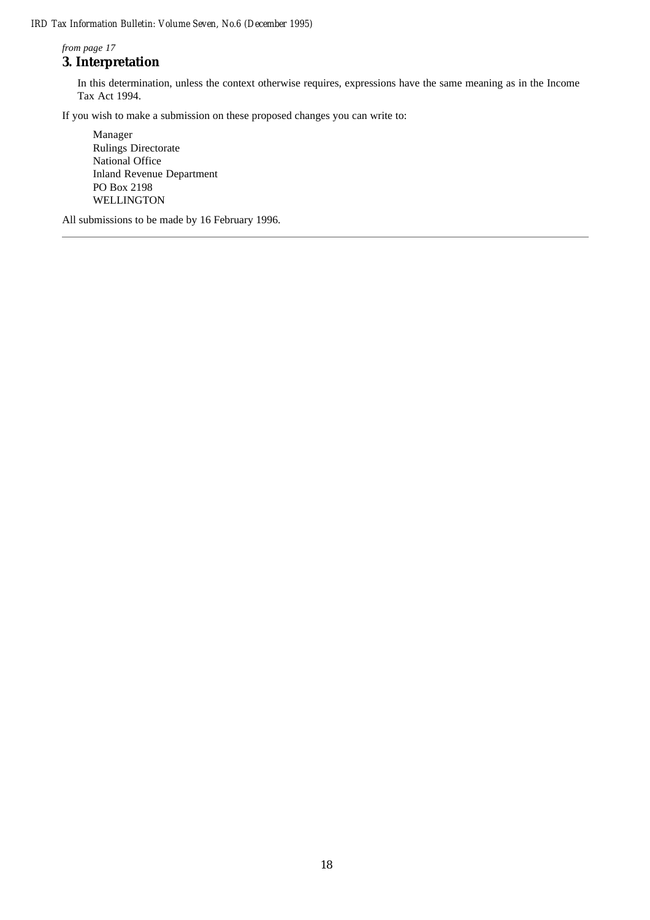*from page 17*

## **3. Interpretation**

In this determination, unless the context otherwise requires, expressions have the same meaning as in the Income Tax Act 1994.

If you wish to make a submission on these proposed changes you can write to:

Manager Rulings Directorate National Office Inland Revenue Department PO Box 2198 WELLINGTON

All submissions to be made by 16 February 1996.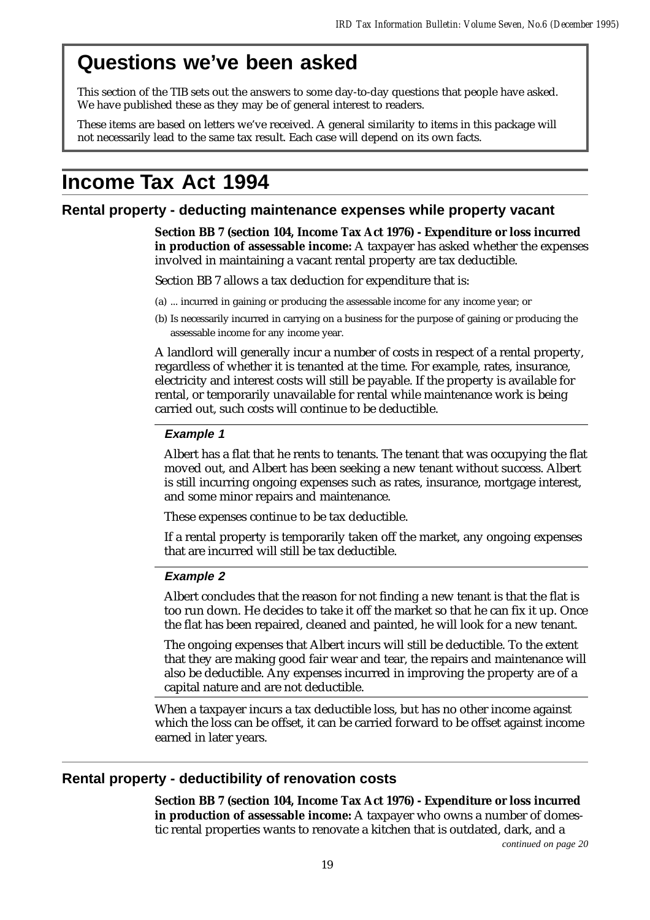## **Questions we've been asked**

This section of the TIB sets out the answers to some day-to-day questions that people have asked. We have published these as they may be of general interest to readers.

These items are based on letters we've received. A general similarity to items in this package will not necessarily lead to the same tax result. Each case will depend on its own facts.

## **Income Tax Act 1994**

### **Rental property - deducting maintenance expenses while property vacant**

**Section BB 7 (section 104, Income Tax Act 1976) - Expenditure or loss incurred in production of assessable income:** A taxpayer has asked whether the expenses involved in maintaining a vacant rental property are tax deductible.

Section BB 7 allows a tax deduction for expenditure that is:

- (a) ... incurred in gaining or producing the assessable income for any income year; or
- (b) Is necessarily incurred in carrying on a business for the purpose of gaining or producing the assessable income for any income year.

A landlord will generally incur a number of costs in respect of a rental property, regardless of whether it is tenanted at the time. For example, rates, insurance, electricity and interest costs will still be payable. If the property is available for rental, or temporarily unavailable for rental while maintenance work is being carried out, such costs will continue to be deductible.

#### **Example 1**

Albert has a flat that he rents to tenants. The tenant that was occupying the flat moved out, and Albert has been seeking a new tenant without success. Albert is still incurring ongoing expenses such as rates, insurance, mortgage interest, and some minor repairs and maintenance.

These expenses continue to be tax deductible.

If a rental property is temporarily taken off the market, any ongoing expenses that are incurred will still be tax deductible.

#### **Example 2**

Albert concludes that the reason for not finding a new tenant is that the flat is too run down. He decides to take it off the market so that he can fix it up. Once the flat has been repaired, cleaned and painted, he will look for a new tenant.

The ongoing expenses that Albert incurs will still be deductible. To the extent that they are making good fair wear and tear, the repairs and maintenance will also be deductible. Any expenses incurred in improving the property are of a capital nature and are not deductible.

When a taxpayer incurs a tax deductible loss, but has no other income against which the loss can be offset, it can be carried forward to be offset against income earned in later years.

## **Rental property - deductibility of renovation costs**

**Section BB 7 (section 104, Income Tax Act 1976) - Expenditure or loss incurred in production of assessable income:** A taxpayer who owns a number of domestic rental properties wants to renovate a kitchen that is outdated, dark, and a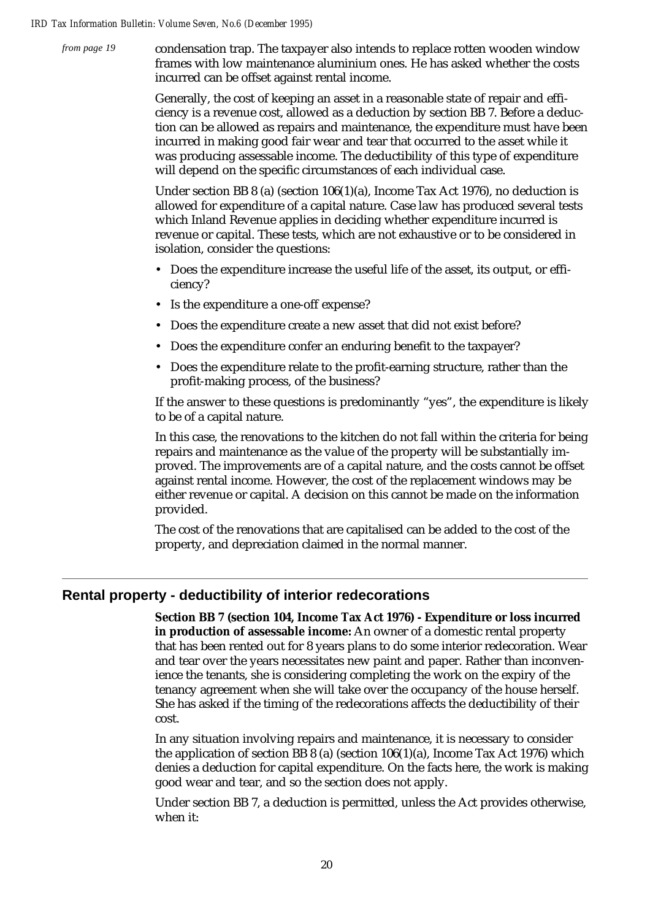*from page 19*

condensation trap. The taxpayer also intends to replace rotten wooden window frames with low maintenance aluminium ones. He has asked whether the costs incurred can be offset against rental income.

Generally, the cost of keeping an asset in a reasonable state of repair and efficiency is a revenue cost, allowed as a deduction by section BB 7. Before a deduction can be allowed as repairs and maintenance, the expenditure must have been incurred in making good fair wear and tear that occurred to the asset while it was producing assessable income. The deductibility of this type of expenditure will depend on the specific circumstances of each individual case.

Under section BB 8 (a) (section 106(1)(a), Income Tax Act 1976), no deduction is allowed for expenditure of a capital nature. Case law has produced several tests which Inland Revenue applies in deciding whether expenditure incurred is revenue or capital. These tests, which are not exhaustive or to be considered in isolation, consider the questions:

- Does the expenditure increase the useful life of the asset, its output, or efficiency?
- Is the expenditure a one-off expense?
- Does the expenditure create a new asset that did not exist before?
- Does the expenditure confer an enduring benefit to the taxpayer?
- Does the expenditure relate to the profit-earning structure, rather than the profit-making process, of the business?

If the answer to these questions is predominantly "yes", the expenditure is likely to be of a capital nature.

In this case, the renovations to the kitchen do not fall within the criteria for being repairs and maintenance as the value of the property will be substantially improved. The improvements are of a capital nature, and the costs cannot be offset against rental income. However, the cost of the replacement windows may be either revenue or capital. A decision on this cannot be made on the information provided.

The cost of the renovations that are capitalised can be added to the cost of the property, and depreciation claimed in the normal manner.

## **Rental property - deductibility of interior redecorations**

**Section BB 7 (section 104, Income Tax Act 1976) - Expenditure or loss incurred in production of assessable income:** An owner of a domestic rental property that has been rented out for 8 years plans to do some interior redecoration. Wear and tear over the years necessitates new paint and paper. Rather than inconvenience the tenants, she is considering completing the work on the expiry of the tenancy agreement when she will take over the occupancy of the house herself. She has asked if the timing of the redecorations affects the deductibility of their cost.

In any situation involving repairs and maintenance, it is necessary to consider the application of section BB 8 (a) (section  $106(1)(a)$ , Income Tax Act 1976) which denies a deduction for capital expenditure. On the facts here, the work is making good wear and tear, and so the section does not apply.

Under section BB 7, a deduction is permitted, unless the Act provides otherwise, when it: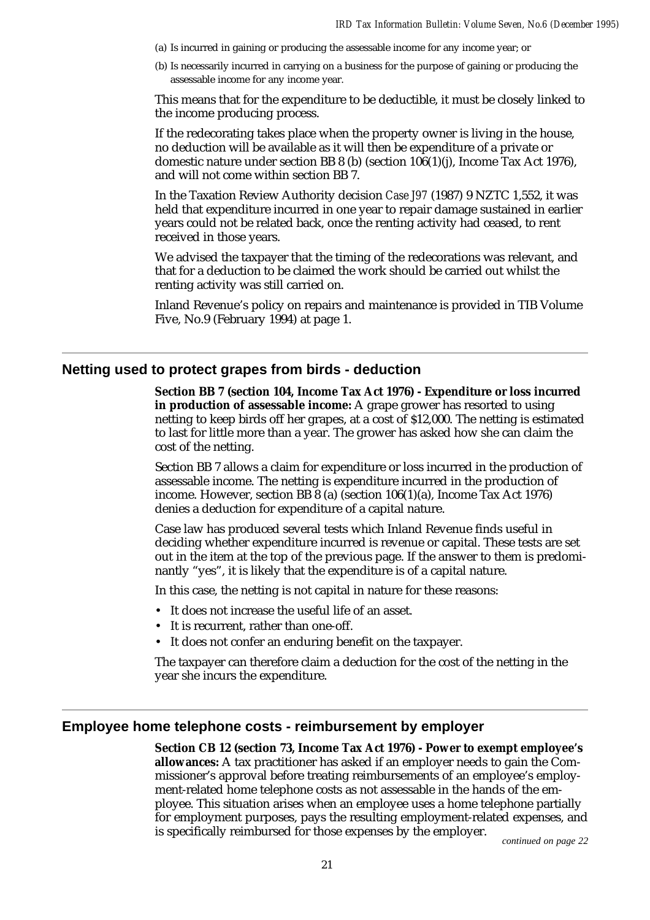- (a) Is incurred in gaining or producing the assessable income for any income year; or
- (b) Is necessarily incurred in carrying on a business for the purpose of gaining or producing the assessable income for any income year.

This means that for the expenditure to be deductible, it must be closely linked to the income producing process.

If the redecorating takes place when the property owner is living in the house, no deduction will be available as it will then be expenditure of a private or domestic nature under section BB 8 (b) (section 106(1)(j), Income Tax Act 1976), and will not come within section BB 7.

In the Taxation Review Authority decision *Case J97* (1987) 9 NZTC 1,552, it was held that expenditure incurred in one year to repair damage sustained in earlier years could not be related back, once the renting activity had ceased, to rent received in those years.

We advised the taxpayer that the timing of the redecorations was relevant, and that for a deduction to be claimed the work should be carried out whilst the renting activity was still carried on.

Inland Revenue's policy on repairs and maintenance is provided in TIB Volume Five, No.9 (February 1994) at page 1.

#### **Netting used to protect grapes from birds - deduction**

**Section BB 7 (section 104, Income Tax Act 1976) - Expenditure or loss incurred in production of assessable income:** A grape grower has resorted to using netting to keep birds off her grapes, at a cost of \$12,000. The netting is estimated to last for little more than a year. The grower has asked how she can claim the cost of the netting.

Section BB 7 allows a claim for expenditure or loss incurred in the production of assessable income. The netting is expenditure incurred in the production of income. However, section BB  $\bar{8}$  (a) (section 106(1)(a), Income Tax Act 1976) denies a deduction for expenditure of a capital nature.

Case law has produced several tests which Inland Revenue finds useful in deciding whether expenditure incurred is revenue or capital. These tests are set out in the item at the top of the previous page. If the answer to them is predominantly "yes", it is likely that the expenditure is of a capital nature.

In this case, the netting is not capital in nature for these reasons:

- It does not increase the useful life of an asset.
- It is recurrent, rather than one-off.
- It does not confer an enduring benefit on the taxpayer.

The taxpayer can therefore claim a deduction for the cost of the netting in the year she incurs the expenditure.

### **Employee home telephone costs - reimbursement by employer**

**Section CB 12 (section 73, Income Tax Act 1976) - Power to exempt employee's allowances:** A tax practitioner has asked if an employer needs to gain the Commissioner's approval before treating reimbursements of an employee's employment-related home telephone costs as not assessable in the hands of the employee. This situation arises when an employee uses a home telephone partially for employment purposes, pays the resulting employment-related expenses, and is specifically reimbursed for those expenses by the employer. *continued on page 22*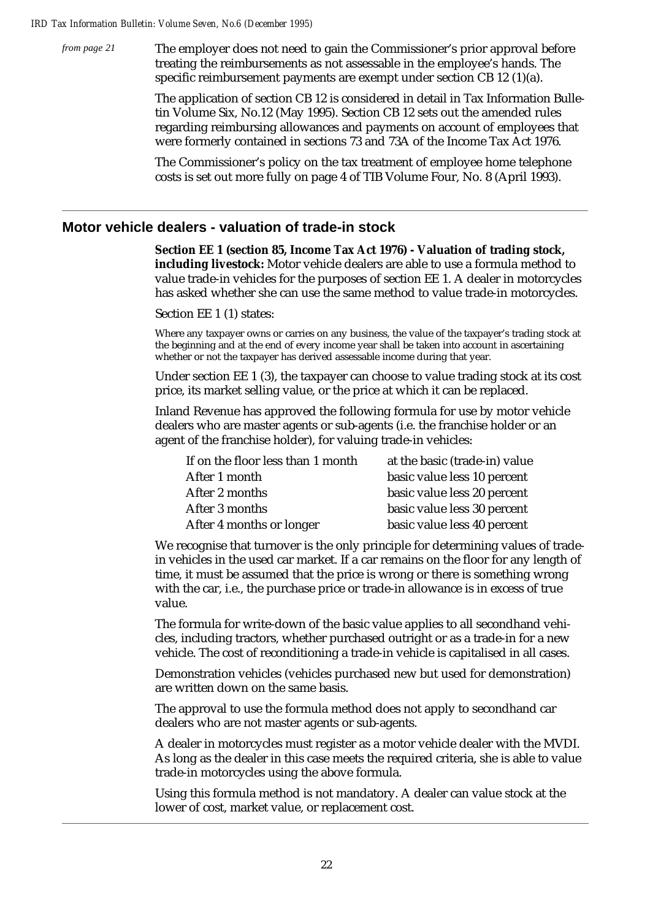The employer does not need to gain the Commissioner's prior approval before treating the reimbursements as not assessable in the employee's hands. The specific reimbursement payments are exempt under section CB 12 (1)(a). *from page 21*

> The application of section CB 12 is considered in detail in Tax Information Bulletin Volume Six, No.12 (May 1995). Section CB 12 sets out the amended rules regarding reimbursing allowances and payments on account of employees that were formerly contained in sections 73 and 73A of the Income Tax Act 1976.

The Commissioner's policy on the tax treatment of employee home telephone costs is set out more fully on page 4 of TIB Volume Four, No. 8 (April 1993).

### **Motor vehicle dealers - valuation of trade-in stock**

**Section EE 1 (section 85, Income Tax Act 1976) - Valuation of trading stock, including livestock:** Motor vehicle dealers are able to use a formula method to value trade-in vehicles for the purposes of section EE 1. A dealer in motorcycles has asked whether she can use the same method to value trade-in motorcycles.

Section EE 1 (1) states:

Where any taxpayer owns or carries on any business, the value of the taxpayer's trading stock at the beginning and at the end of every income year shall be taken into account in ascertaining whether or not the taxpayer has derived assessable income during that year.

Under section EE 1 (3), the taxpayer can choose to value trading stock at its cost price, its market selling value, or the price at which it can be replaced.

Inland Revenue has approved the following formula for use by motor vehicle dealers who are master agents or sub-agents (i.e. the franchise holder or an agent of the franchise holder), for valuing trade-in vehicles:

| If on the floor less than 1 month | at the basic (trade-in) value |
|-----------------------------------|-------------------------------|
| After 1 month                     | basic value less 10 percent   |
| After 2 months                    | basic value less 20 percent   |
| After 3 months                    | basic value less 30 percent   |
| After 4 months or longer          | basic value less 40 percent   |

We recognise that turnover is the only principle for determining values of tradein vehicles in the used car market. If a car remains on the floor for any length of time, it must be assumed that the price is wrong or there is something wrong with the car, i.e., the purchase price or trade-in allowance is in excess of true value.

The formula for write-down of the basic value applies to all secondhand vehicles, including tractors, whether purchased outright or as a trade-in for a new vehicle. The cost of reconditioning a trade-in vehicle is capitalised in all cases.

Demonstration vehicles (vehicles purchased new but used for demonstration) are written down on the same basis.

The approval to use the formula method does not apply to secondhand car dealers who are not master agents or sub-agents.

A dealer in motorcycles must register as a motor vehicle dealer with the MVDI. As long as the dealer in this case meets the required criteria, she is able to value trade-in motorcycles using the above formula.

Using this formula method is not mandatory. A dealer can value stock at the lower of cost, market value, or replacement cost.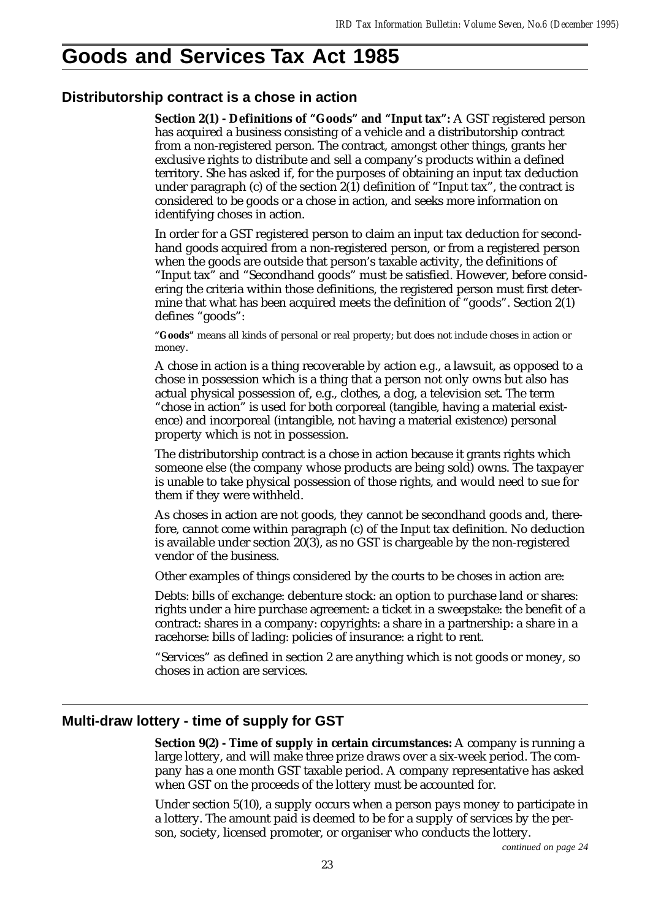## **Goods and Services Tax Act 1985**

### **Distributorship contract is a chose in action**

**Section 2(1) - Definitions of "Goods" and "Input tax":** A GST registered person has acquired a business consisting of a vehicle and a distributorship contract from a non-registered person. The contract, amongst other things, grants her exclusive rights to distribute and sell a company's products within a defined territory. She has asked if, for the purposes of obtaining an input tax deduction under paragraph  $(c)$  of the section  $2(1)$  definition of "Input tax", the contract is considered to be goods or a chose in action, and seeks more information on identifying choses in action.

In order for a GST registered person to claim an input tax deduction for secondhand goods acquired from a non-registered person, or from a registered person when the goods are outside that person's taxable activity, the definitions of "Input tax" and "Secondhand goods" must be satisfied. However, before considering the criteria within those definitions, the registered person must first determine that what has been acquired meets the definition of "goods". Section 2(1) defines "goods":

**"Goods"** means all kinds of personal or real property; but does not include choses in action or money.

A chose in action is a thing recoverable by action e.g., a lawsuit, as opposed to a chose in possession which is a thing that a person not only owns but also has actual physical possession of, e.g., clothes, a dog, a television set. The term "chose in action" is used for both corporeal (tangible, having a material existence) and incorporeal (intangible, not having a material existence) personal property which is not in possession.

The distributorship contract is a chose in action because it grants rights which someone else (the company whose products are being sold) owns. The taxpayer is unable to take physical possession of those rights, and would need to sue for them if they were withheld.

As choses in action are not goods, they cannot be secondhand goods and, therefore, cannot come within paragraph (c) of the Input tax definition. No deduction is available under section 20(3), as no GST is chargeable by the non-registered vendor of the business.

Other examples of things considered by the courts to be choses in action are:

Debts: bills of exchange: debenture stock: an option to purchase land or shares: rights under a hire purchase agreement: a ticket in a sweepstake: the benefit of a contract: shares in a company: copyrights: a share in a partnership: a share in a racehorse: bills of lading: policies of insurance: a right to rent.

"Services" as defined in section 2 are anything which is not goods or money, so choses in action are services.

## **Multi-draw lottery - time of supply for GST**

**Section 9(2) - Time of supply in certain circumstances:** A company is running a large lottery, and will make three prize draws over a six-week period. The company has a one month GST taxable period. A company representative has asked when GST on the proceeds of the lottery must be accounted for.

Under section 5(10), a supply occurs when a person pays money to participate in a lottery. The amount paid is deemed to be for a supply of services by the person, society, licensed promoter, or organiser who conducts the lottery.

*continued on page 24*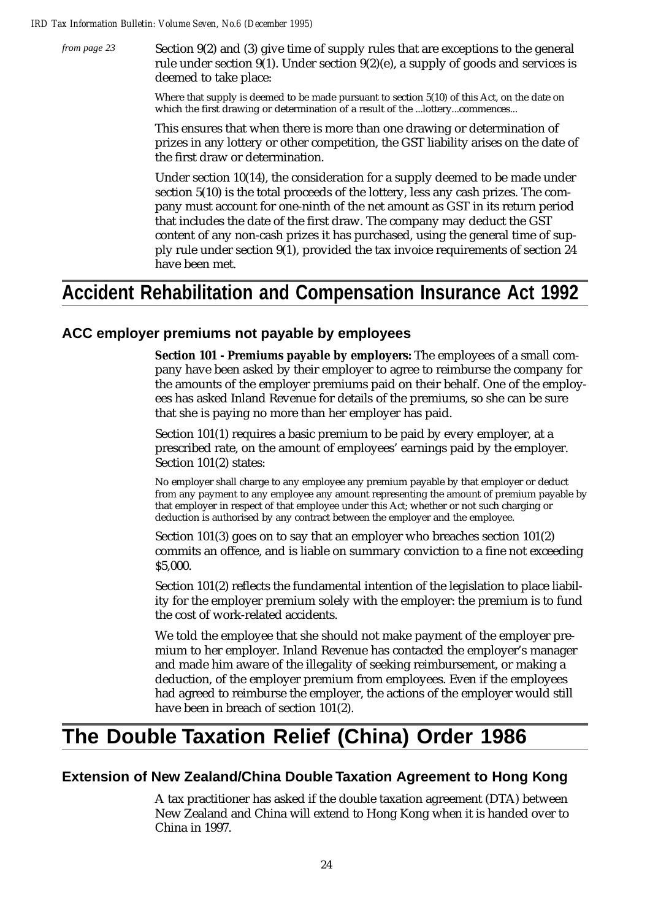Section 9(2) and (3) give time of supply rules that are exceptions to the general rule under section 9(1). Under section 9(2)(e), a supply of goods and services is deemed to take place: *from page 23*

> Where that supply is deemed to be made pursuant to section 5(10) of this Act, on the date on which the first drawing or determination of a result of the ...lottery...commences...

This ensures that when there is more than one drawing or determination of prizes in any lottery or other competition, the GST liability arises on the date of the first draw or determination.

Under section 10(14), the consideration for a supply deemed to be made under section 5(10) is the total proceeds of the lottery, less any cash prizes. The company must account for one-ninth of the net amount as GST in its return period that includes the date of the first draw. The company may deduct the GST content of any non-cash prizes it has purchased, using the general time of supply rule under section 9(1), provided the tax invoice requirements of section 24 have been met.

## **Accident Rehabilitation and Compensation Insurance Act 1992**

## **ACC employer premiums not payable by employees**

**Section 101 - Premiums payable by employers:** The employees of a small company have been asked by their employer to agree to reimburse the company for the amounts of the employer premiums paid on their behalf. One of the employees has asked Inland Revenue for details of the premiums, so she can be sure that she is paying no more than her employer has paid.

Section 101(1) requires a basic premium to be paid by every employer, at a prescribed rate, on the amount of employees' earnings paid by the employer. Section 101(2) states:

No employer shall charge to any employee any premium payable by that employer or deduct from any payment to any employee any amount representing the amount of premium payable by that employer in respect of that employee under this Act; whether or not such charging or deduction is authorised by any contract between the employer and the employee.

Section 101(3) goes on to say that an employer who breaches section 101(2) commits an offence, and is liable on summary conviction to a fine not exceeding \$5,000.

Section 101(2) reflects the fundamental intention of the legislation to place liability for the employer premium solely with the employer: the premium is to fund the cost of work-related accidents.

We told the employee that she should not make payment of the employer premium to her employer. Inland Revenue has contacted the employer's manager and made him aware of the illegality of seeking reimbursement, or making a deduction, of the employer premium from employees. Even if the employees had agreed to reimburse the employer, the actions of the employer would still have been in breach of section 101(2).

## **The Double Taxation Relief (China) Order 1986**

## **Extension of New Zealand/China Double Taxation Agreement to Hong Kong**

A tax practitioner has asked if the double taxation agreement (DTA) between New Zealand and China will extend to Hong Kong when it is handed over to China in 1997.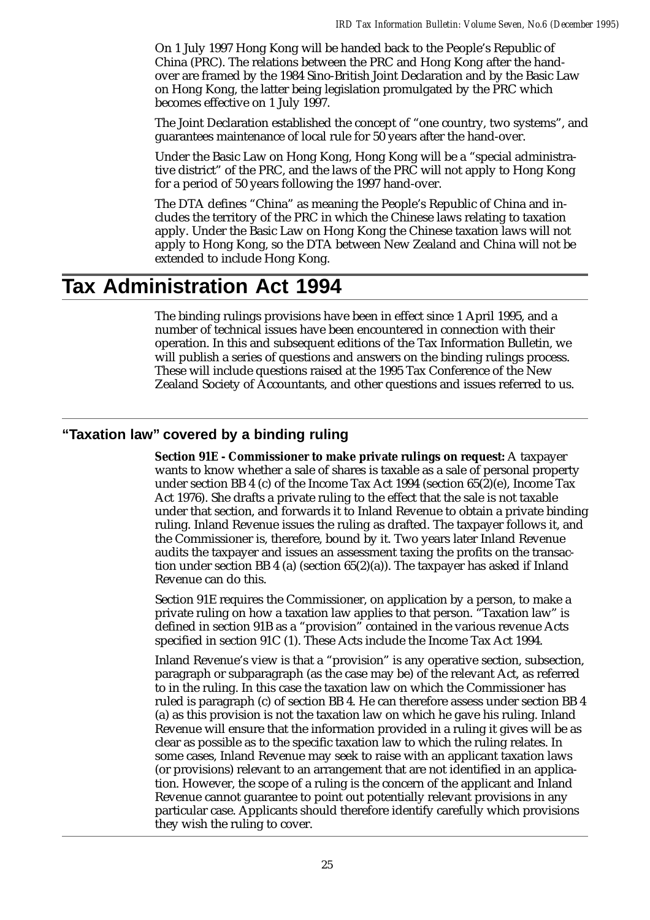On 1 July 1997 Hong Kong will be handed back to the People's Republic of China (PRC). The relations between the PRC and Hong Kong after the handover are framed by the 1984 Sino-British Joint Declaration and by the Basic Law on Hong Kong, the latter being legislation promulgated by the PRC which becomes effective on 1 July 1997.

The Joint Declaration established the concept of "one country, two systems", and guarantees maintenance of local rule for 50 years after the hand-over.

Under the Basic Law on Hong Kong, Hong Kong will be a "special administrative district" of the PRC, and the laws of the PRC will not apply to Hong Kong for a period of 50 years following the 1997 hand-over.

The DTA defines "China" as meaning the People's Republic of China and includes the territory of the PRC in which the Chinese laws relating to taxation apply. Under the Basic Law on Hong Kong the Chinese taxation laws will not apply to Hong Kong, so the DTA between New Zealand and China will not be extended to include Hong Kong.

## **Tax Administration Act 1994**

The binding rulings provisions have been in effect since 1 April 1995, and a number of technical issues have been encountered in connection with their operation. In this and subsequent editions of the Tax Information Bulletin, we will publish a series of questions and answers on the binding rulings process. These will include questions raised at the 1995 Tax Conference of the New Zealand Society of Accountants, and other questions and issues referred to us.

## **"Taxation law" covered by a binding ruling**

**Section 91E - Commissioner to make private rulings on request:** A taxpayer wants to know whether a sale of shares is taxable as a sale of personal property under section BB 4 (c) of the Income Tax Act 1994 (section  $65(2)$ (e), Income Tax Act 1976). She drafts a private ruling to the effect that the sale is not taxable under that section, and forwards it to Inland Revenue to obtain a private binding ruling. Inland Revenue issues the ruling as drafted. The taxpayer follows it, and the Commissioner is, therefore, bound by it. Two years later Inland Revenue audits the taxpayer and issues an assessment taxing the profits on the transaction under section BB 4 (a) (section  $65(2)(a)$ ). The taxpayer has asked if Inland Revenue can do this.

Section 91E requires the Commissioner, on application by a person, to make a private ruling on how a taxation law applies to that person. "Taxation law" is defined in section 91B as a "provision" contained in the various revenue Acts specified in section 91C (1). These Acts include the Income Tax Act 1994.

Inland Revenue's view is that a "provision" is any operative section, subsection, paragraph or subparagraph (as the case may be) of the relevant Act, as referred to in the ruling. In this case the taxation law on which the Commissioner has ruled is paragraph (c) of section BB 4. He can therefore assess under section BB 4 (a) as this provision is not the taxation law on which he gave his ruling. Inland Revenue will ensure that the information provided in a ruling it gives will be as clear as possible as to the specific taxation law to which the ruling relates. In some cases, Inland Revenue may seek to raise with an applicant taxation laws (or provisions) relevant to an arrangement that are not identified in an application. However, the scope of a ruling is the concern of the applicant and Inland Revenue cannot guarantee to point out potentially relevant provisions in any particular case. Applicants should therefore identify carefully which provisions they wish the ruling to cover.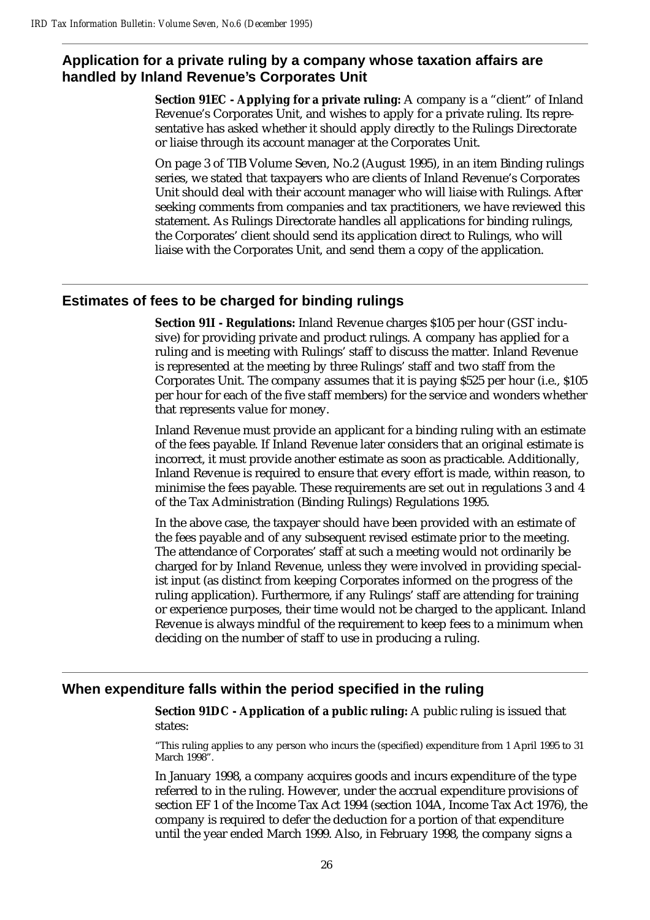## **Application for a private ruling by a company whose taxation affairs are handled by Inland Revenue's Corporates Unit**

**Section 91EC - Applying for a private ruling:** A company is a "client" of Inland Revenue's Corporates Unit, and wishes to apply for a private ruling. Its representative has asked whether it should apply directly to the Rulings Directorate or liaise through its account manager at the Corporates Unit.

On page 3 of TIB Volume Seven, No.2 (August 1995), in an item Binding rulings series, we stated that taxpayers who are clients of Inland Revenue's Corporates Unit should deal with their account manager who will liaise with Rulings. After seeking comments from companies and tax practitioners, we have reviewed this statement. As Rulings Directorate handles all applications for binding rulings, the Corporates' client should send its application direct to Rulings, who will liaise with the Corporates Unit, and send them a copy of the application.

## **Estimates of fees to be charged for binding rulings**

**Section 91I - Regulations:** Inland Revenue charges \$105 per hour (GST inclusive) for providing private and product rulings. A company has applied for a ruling and is meeting with Rulings' staff to discuss the matter. Inland Revenue is represented at the meeting by three Rulings' staff and two staff from the Corporates Unit. The company assumes that it is paying \$525 per hour (i.e., \$105 per hour for each of the five staff members) for the service and wonders whether that represents value for money.

Inland Revenue must provide an applicant for a binding ruling with an estimate of the fees payable. If Inland Revenue later considers that an original estimate is incorrect, it must provide another estimate as soon as practicable. Additionally, Inland Revenue is required to ensure that every effort is made, within reason, to minimise the fees payable. These requirements are set out in regulations 3 and 4 of the Tax Administration (Binding Rulings) Regulations 1995.

In the above case, the taxpayer should have been provided with an estimate of the fees payable and of any subsequent revised estimate prior to the meeting. The attendance of Corporates' staff at such a meeting would not ordinarily be charged for by Inland Revenue, unless they were involved in providing specialist input (as distinct from keeping Corporates informed on the progress of the ruling application). Furthermore, if any Rulings' staff are attending for training or experience purposes, their time would not be charged to the applicant. Inland Revenue is always mindful of the requirement to keep fees to a minimum when deciding on the number of staff to use in producing a ruling.

## **When expenditure falls within the period specified in the ruling**

**Section 91DC - Application of a public ruling:** A public ruling is issued that states:

"This ruling applies to any person who incurs the (specified) expenditure from 1 April 1995 to 31 March 1998".

In January 1998, a company acquires goods and incurs expenditure of the type referred to in the ruling. However, under the accrual expenditure provisions of section EF 1 of the Income Tax Act 1994 (section 104A, Income Tax Act 1976), the company is required to defer the deduction for a portion of that expenditure until the year ended March 1999. Also, in February 1998, the company signs a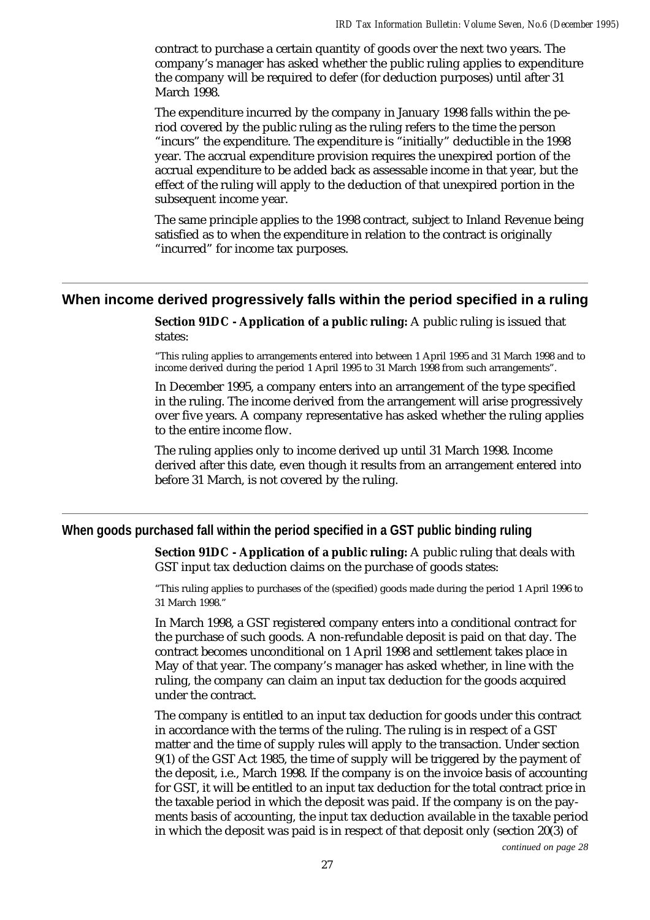contract to purchase a certain quantity of goods over the next two years. The company's manager has asked whether the public ruling applies to expenditure the company will be required to defer (for deduction purposes) until after 31 March 1998.

The expenditure incurred by the company in January 1998 falls within the period covered by the public ruling as the ruling refers to the time the person "incurs" the expenditure. The expenditure is "initially" deductible in the 1998 year. The accrual expenditure provision requires the unexpired portion of the accrual expenditure to be added back as assessable income in that year, but the effect of the ruling will apply to the deduction of that unexpired portion in the subsequent income year.

The same principle applies to the 1998 contract, subject to Inland Revenue being satisfied as to when the expenditure in relation to the contract is originally "incurred" for income tax purposes.

#### **When income derived progressively falls within the period specified in a ruling**

**Section 91DC - Application of a public ruling:** A public ruling is issued that states:

"This ruling applies to arrangements entered into between 1 April 1995 and 31 March 1998 and to income derived during the period 1 April 1995 to 31 March 1998 from such arrangements".

In December 1995, a company enters into an arrangement of the type specified in the ruling. The income derived from the arrangement will arise progressively over five years. A company representative has asked whether the ruling applies to the entire income flow.

The ruling applies only to income derived up until 31 March 1998. Income derived after this date, even though it results from an arrangement entered into before 31 March, is not covered by the ruling.

#### **When goods purchased fall within the period specified in a GST public binding ruling**

**Section 91DC - Application of a public ruling:** A public ruling that deals with GST input tax deduction claims on the purchase of goods states:

"This ruling applies to purchases of the (specified) goods made during the period 1 April 1996 to 31 March 1998."

In March 1998, a GST registered company enters into a conditional contract for the purchase of such goods. A non-refundable deposit is paid on that day. The contract becomes unconditional on 1 April 1998 and settlement takes place in May of that year. The company's manager has asked whether, in line with the ruling, the company can claim an input tax deduction for the goods acquired under the contract.

The company is entitled to an input tax deduction for goods under this contract in accordance with the terms of the ruling. The ruling is in respect of a GST matter and the time of supply rules will apply to the transaction. Under section 9(1) of the GST Act 1985, the time of supply will be triggered by the payment of the deposit, i.e., March 1998. If the company is on the invoice basis of accounting for GST, it will be entitled to an input tax deduction for the total contract price in the taxable period in which the deposit was paid. If the company is on the payments basis of accounting, the input tax deduction available in the taxable period in which the deposit was paid is in respect of that deposit only (section 20(3) of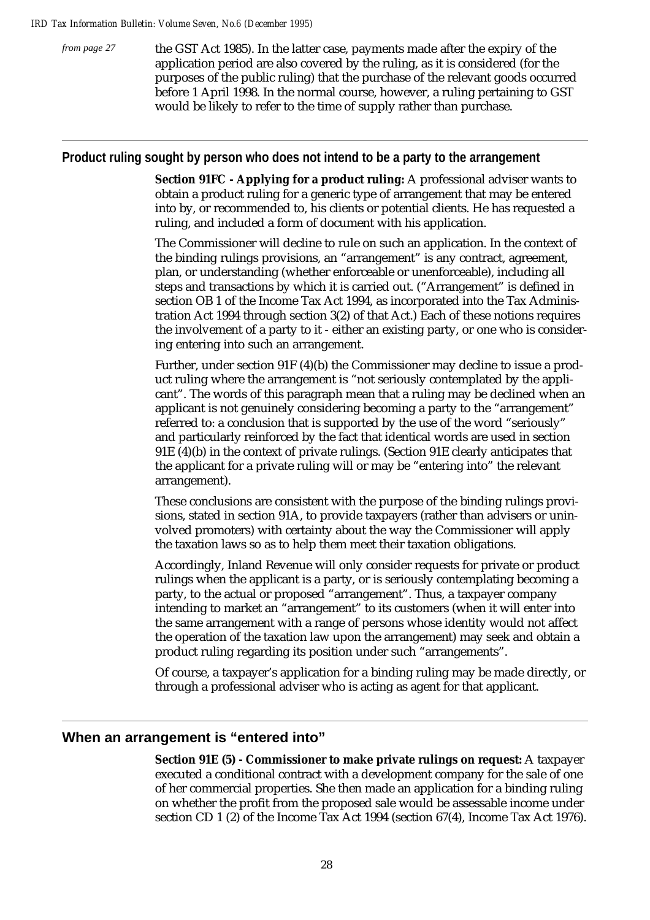*from page 27*

the GST Act 1985). In the latter case, payments made after the expiry of the application period are also covered by the ruling, as it is considered (for the purposes of the public ruling) that the purchase of the relevant goods occurred before 1 April 1998. In the normal course, however, a ruling pertaining to GST would be likely to refer to the time of supply rather than purchase.

### **Product ruling sought by person who does not intend to be a party to the arrangement**

**Section 91FC - Applying for a product ruling:** A professional adviser wants to obtain a product ruling for a generic type of arrangement that may be entered into by, or recommended to, his clients or potential clients. He has requested a ruling, and included a form of document with his application.

The Commissioner will decline to rule on such an application. In the context of the binding rulings provisions, an "arrangement" is any contract, agreement, plan, or understanding (whether enforceable or unenforceable), including all steps and transactions by which it is carried out. ("Arrangement" is defined in section OB 1 of the Income Tax Act 1994, as incorporated into the Tax Administration Act 1994 through section 3(2) of that Act.) Each of these notions requires the involvement of a party to it - either an existing party, or one who is considering entering into such an arrangement.

Further, under section 91F (4)(b) the Commissioner may decline to issue a product ruling where the arrangement is "not seriously contemplated by the applicant". The words of this paragraph mean that a ruling may be declined when an applicant is not genuinely considering becoming a party to the "arrangement" referred to: a conclusion that is supported by the use of the word "seriously" and particularly reinforced by the fact that identical words are used in section 91E (4)(b) in the context of private rulings. (Section 91E clearly anticipates that the applicant for a private ruling will or may be "entering into" the relevant arrangement).

These conclusions are consistent with the purpose of the binding rulings provisions, stated in section 91A, to provide taxpayers (rather than advisers or uninvolved promoters) with certainty about the way the Commissioner will apply the taxation laws so as to help them meet their taxation obligations.

Accordingly, Inland Revenue will only consider requests for private or product rulings when the applicant is a party, or is seriously contemplating becoming a party, to the actual or proposed "arrangement". Thus, a taxpayer company intending to market an "arrangement" to its customers (when it will enter into the same arrangement with a range of persons whose identity would not affect the operation of the taxation law upon the arrangement) may seek and obtain a product ruling regarding its position under such "arrangements".

Of course, a taxpayer's application for a binding ruling may be made directly, or through a professional adviser who is acting as agent for that applicant.

## **When an arrangement is "entered into"**

**Section 91E (5) - Commissioner to make private rulings on request:** A taxpayer executed a conditional contract with a development company for the sale of one of her commercial properties. She then made an application for a binding ruling on whether the profit from the proposed sale would be assessable income under section CD 1 (2) of the Income Tax Act 1994 (section 67(4), Income Tax Act 1976).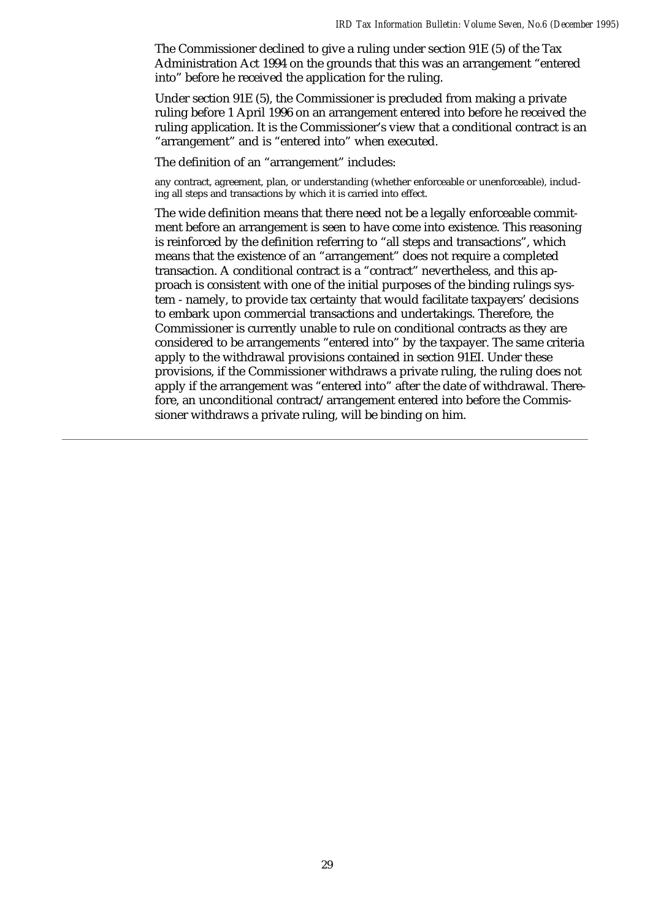The Commissioner declined to give a ruling under section 91E (5) of the Tax Administration Act 1994 on the grounds that this was an arrangement "entered into" before he received the application for the ruling.

Under section 91E (5), the Commissioner is precluded from making a private ruling before 1 April 1996 on an arrangement entered into before he received the ruling application. It is the Commissioner's view that a conditional contract is an "arrangement" and is "entered into" when executed.

The definition of an "arrangement" includes:

any contract, agreement, plan, or understanding (whether enforceable or unenforceable), including all steps and transactions by which it is carried into effect.

The wide definition means that there need not be a legally enforceable commitment before an arrangement is seen to have come into existence. This reasoning is reinforced by the definition referring to "all steps and transactions", which means that the existence of an "arrangement" does not require a completed transaction. A conditional contract is a "contract" nevertheless, and this approach is consistent with one of the initial purposes of the binding rulings system - namely, to provide tax certainty that would facilitate taxpayers' decisions to embark upon commercial transactions and undertakings. Therefore, the Commissioner is currently unable to rule on conditional contracts as they are considered to be arrangements "entered into" by the taxpayer. The same criteria apply to the withdrawal provisions contained in section 91EI. Under these provisions, if the Commissioner withdraws a private ruling, the ruling does not apply if the arrangement was "entered into" after the date of withdrawal. Therefore, an unconditional contract/arrangement entered into before the Commissioner withdraws a private ruling, will be binding on him.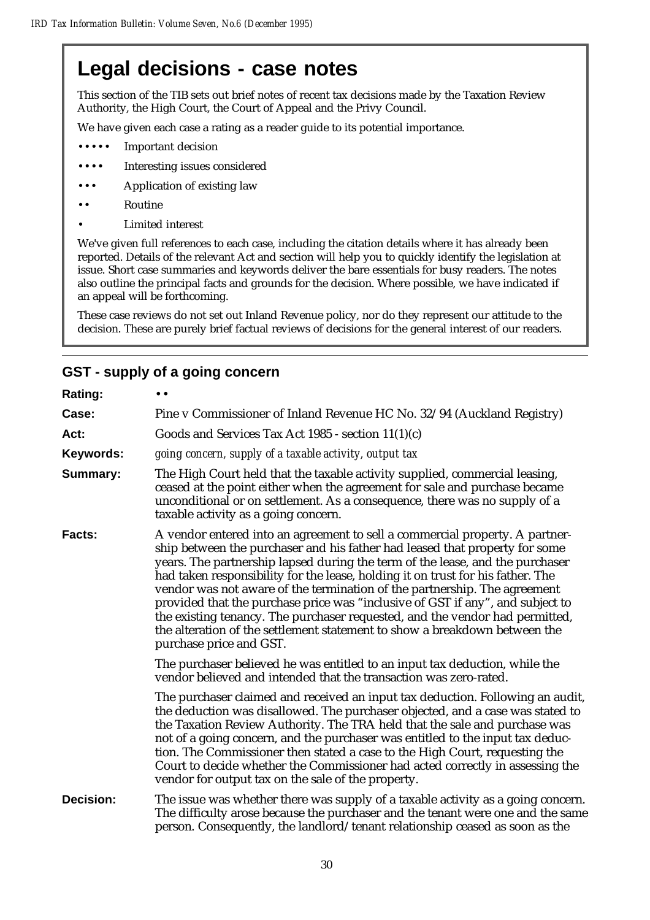## **Legal decisions - case notes**

This section of the TIB sets out brief notes of recent tax decisions made by the Taxation Review Authority, the High Court, the Court of Appeal and the Privy Council.

We have given each case a rating as a reader guide to its potential importance.

- ••• Important decision
- •••• Interesting issues considered
- ••• Application of existing law
- •• Routine
- Limited interest

We've given full references to each case, including the citation details where it has already been reported. Details of the relevant Act and section will help you to quickly identify the legislation at issue. Short case summaries and keywords deliver the bare essentials for busy readers. The notes also outline the principal facts and grounds for the decision. Where possible, we have indicated if an appeal will be forthcoming.

These case reviews do not set out Inland Revenue policy, nor do they represent our attitude to the decision. These are purely brief factual reviews of decisions for the general interest of our readers.

## **GST - supply of a going concern**

| Rating:          | $\bullet\bullet$                                                                                                                                                                                                                                                                                                                                                                                                                                                                                                                                                                                                                                                                        |
|------------------|-----------------------------------------------------------------------------------------------------------------------------------------------------------------------------------------------------------------------------------------------------------------------------------------------------------------------------------------------------------------------------------------------------------------------------------------------------------------------------------------------------------------------------------------------------------------------------------------------------------------------------------------------------------------------------------------|
| Case:            | Pine v Commissioner of Inland Revenue HC No. 32/94 (Auckland Registry)                                                                                                                                                                                                                                                                                                                                                                                                                                                                                                                                                                                                                  |
| Act:             | Goods and Services Tax Act 1985 - section $11(1)(c)$                                                                                                                                                                                                                                                                                                                                                                                                                                                                                                                                                                                                                                    |
| Keywords:        | going concern, supply of a taxable activity, output tax                                                                                                                                                                                                                                                                                                                                                                                                                                                                                                                                                                                                                                 |
| <b>Summary:</b>  | The High Court held that the taxable activity supplied, commercial leasing,<br>ceased at the point either when the agreement for sale and purchase became<br>unconditional or on settlement. As a consequence, there was no supply of a<br>taxable activity as a going concern.                                                                                                                                                                                                                                                                                                                                                                                                         |
| Facts:           | A vendor entered into an agreement to sell a commercial property. A partner-<br>ship between the purchaser and his father had leased that property for some<br>years. The partnership lapsed during the term of the lease, and the purchaser<br>had taken responsibility for the lease, holding it on trust for his father. The<br>vendor was not aware of the termination of the partnership. The agreement<br>provided that the purchase price was "inclusive of GST if any", and subject to<br>the existing tenancy. The purchaser requested, and the vendor had permitted,<br>the alteration of the settlement statement to show a breakdown between the<br>purchase price and GST. |
|                  | The purchaser believed he was entitled to an input tax deduction, while the<br>vendor believed and intended that the transaction was zero-rated.                                                                                                                                                                                                                                                                                                                                                                                                                                                                                                                                        |
|                  | The purchaser claimed and received an input tax deduction. Following an audit,<br>the deduction was disallowed. The purchaser objected, and a case was stated to<br>the Taxation Review Authority. The TRA held that the sale and purchase was<br>not of a going concern, and the purchaser was entitled to the input tax deduc-<br>tion. The Commissioner then stated a case to the High Court, requesting the<br>Court to decide whether the Commissioner had acted correctly in assessing the<br>vendor for output tax on the sale of the property.                                                                                                                                  |
| <b>Decision:</b> | The issue was whether there was supply of a taxable activity as a going concern.<br>The difficulty arose because the purchaser and the tenant were one and the same<br>person. Consequently, the landlord/tenant relationship ceased as soon as the                                                                                                                                                                                                                                                                                                                                                                                                                                     |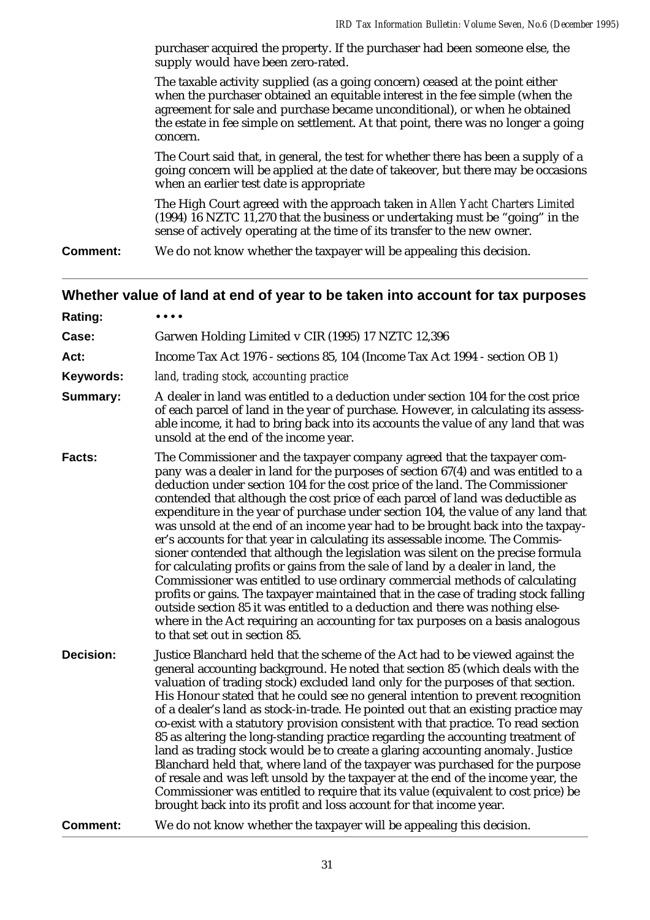purchaser acquired the property. If the purchaser had been someone else, the supply would have been zero-rated.

The taxable activity supplied (as a going concern) ceased at the point either when the purchaser obtained an equitable interest in the fee simple (when the agreement for sale and purchase became unconditional), or when he obtained the estate in fee simple on settlement. At that point, there was no longer a going concern.

The Court said that, in general, the test for whether there has been a supply of a going concern will be applied at the date of takeover, but there may be occasions when an earlier test date is appropriate

The High Court agreed with the approach taken in *Allen Yacht Charters Limited* (1994) 16 NZTC 11,270 that the business or undertaking must be "going" in the sense of actively operating at the time of its transfer to the new owner.

**Comment:** We do not know whether the taxpayer will be appealing this decision.

### **Whether value of land at end of year to be taken into account for tax purposes**

| Rating:          |                                                                                                                                                                                                                                                                                                                                                                                                                                                                                                                                                                                                                                                                                                                                                                                                                                                                                                                                                                                                                                                                                                                                            |
|------------------|--------------------------------------------------------------------------------------------------------------------------------------------------------------------------------------------------------------------------------------------------------------------------------------------------------------------------------------------------------------------------------------------------------------------------------------------------------------------------------------------------------------------------------------------------------------------------------------------------------------------------------------------------------------------------------------------------------------------------------------------------------------------------------------------------------------------------------------------------------------------------------------------------------------------------------------------------------------------------------------------------------------------------------------------------------------------------------------------------------------------------------------------|
| Case:            | Garwen Holding Limited v CIR (1995) 17 NZTC 12,396                                                                                                                                                                                                                                                                                                                                                                                                                                                                                                                                                                                                                                                                                                                                                                                                                                                                                                                                                                                                                                                                                         |
| Act:             | Income Tax Act 1976 - sections 85, 104 (Income Tax Act 1994 - section OB 1)                                                                                                                                                                                                                                                                                                                                                                                                                                                                                                                                                                                                                                                                                                                                                                                                                                                                                                                                                                                                                                                                |
| Keywords:        | land, trading stock, accounting practice                                                                                                                                                                                                                                                                                                                                                                                                                                                                                                                                                                                                                                                                                                                                                                                                                                                                                                                                                                                                                                                                                                   |
| Summary:         | A dealer in land was entitled to a deduction under section 104 for the cost price<br>of each parcel of land in the year of purchase. However, in calculating its assess-<br>able income, it had to bring back into its accounts the value of any land that was<br>unsold at the end of the income year.                                                                                                                                                                                                                                                                                                                                                                                                                                                                                                                                                                                                                                                                                                                                                                                                                                    |
| Facts:           | The Commissioner and the taxpayer company agreed that the taxpayer com-<br>pany was a dealer in land for the purposes of section 67(4) and was entitled to a<br>deduction under section 104 for the cost price of the land. The Commissioner<br>contended that although the cost price of each parcel of land was deductible as<br>expenditure in the year of purchase under section 104, the value of any land that<br>was unsold at the end of an income year had to be brought back into the taxpay-<br>er's accounts for that year in calculating its assessable income. The Commis-<br>sioner contended that although the legislation was silent on the precise formula<br>for calculating profits or gains from the sale of land by a dealer in land, the<br>Commissioner was entitled to use ordinary commercial methods of calculating<br>profits or gains. The taxpayer maintained that in the case of trading stock falling<br>outside section 85 it was entitled to a deduction and there was nothing else-<br>where in the Act requiring an accounting for tax purposes on a basis analogous<br>to that set out in section 85. |
| <b>Decision:</b> | Justice Blanchard held that the scheme of the Act had to be viewed against the<br>general accounting background. He noted that section 85 (which deals with the<br>valuation of trading stock) excluded land only for the purposes of that section.<br>His Honour stated that he could see no general intention to prevent recognition<br>of a dealer's land as stock-in-trade. He pointed out that an existing practice may<br>co-exist with a statutory provision consistent with that practice. To read section<br>85 as altering the long-standing practice regarding the accounting treatment of<br>land as trading stock would be to create a glaring accounting anomaly. Justice<br>Blanchard held that, where land of the taxpayer was purchased for the purpose<br>of resale and was left unsold by the taxpayer at the end of the income year, the<br>Commissioner was entitled to require that its value (equivalent to cost price) be<br>brought back into its profit and loss account for that income year.                                                                                                                   |
| <b>Comment:</b>  | We do not know whether the taxpayer will be appealing this decision.                                                                                                                                                                                                                                                                                                                                                                                                                                                                                                                                                                                                                                                                                                                                                                                                                                                                                                                                                                                                                                                                       |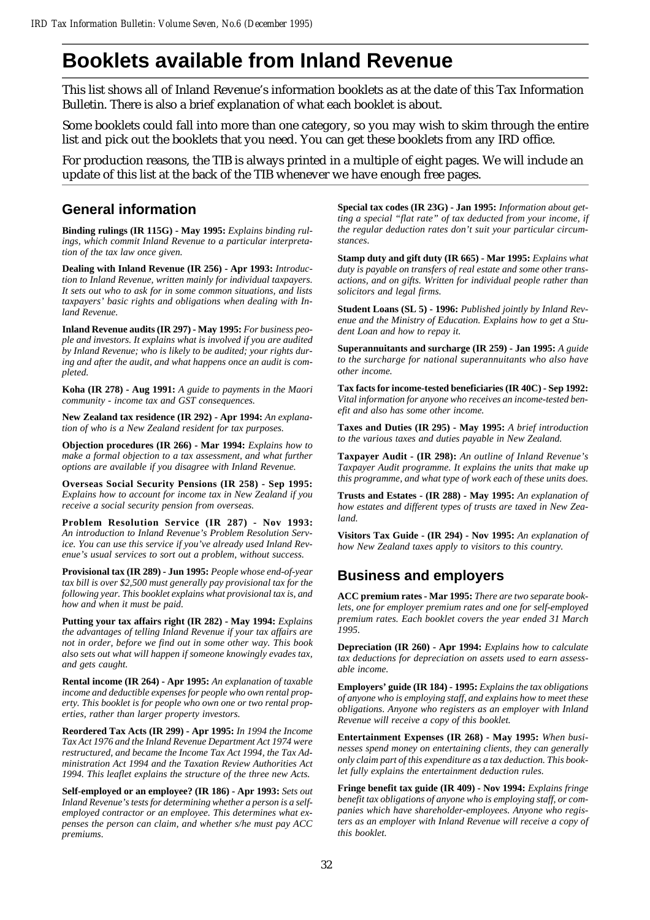## **Booklets available from Inland Revenue**

This list shows all of Inland Revenue's information booklets as at the date of this Tax Information Bulletin. There is also a brief explanation of what each booklet is about.

Some booklets could fall into more than one category, so you may wish to skim through the entire list and pick out the booklets that you need. You can get these booklets from any IRD office.

For production reasons, the TIB is always printed in a multiple of eight pages. We will include an update of this list at the back of the TIB whenever we have enough free pages.

## **General information**

**Binding rulings (IR 115G) - May 1995:** *Explains binding rulings, which commit Inland Revenue to a particular interpretation of the tax law once given.*

**Dealing with Inland Revenue (IR 256) - Apr 1993:** *Introduction to Inland Revenue, written mainly for individual taxpayers. It sets out who to ask for in some common situations, and lists taxpayers' basic rights and obligations when dealing with Inland Revenue.*

**Inland Revenue audits (IR 297) - May 1995:** *For business people and investors. It explains what is involved if you are audited by Inland Revenue; who is likely to be audited; your rights during and after the audit, and what happens once an audit is completed.*

**Koha (IR 278) - Aug 1991:** *A guide to payments in the Maori community - income tax and GST consequences.*

**New Zealand tax residence (IR 292) - Apr 1994:** *An explanation of who is a New Zealand resident for tax purposes.*

**Objection procedures (IR 266) - Mar 1994:** *Explains how to make a formal objection to a tax assessment, and what further options are available if you disagree with Inland Revenue.*

**Overseas Social Security Pensions (IR 258) - Sep 1995:** *Explains how to account for income tax in New Zealand if you receive a social security pension from overseas.*

**Problem Resolution Service (IR 287) - Nov 1993:** *An introduction to Inland Revenue's Problem Resolution Service. You can use this service if you've already used Inland Revenue's usual services to sort out a problem, without success.*

**Provisional tax (IR 289) - Jun 1995:** *People whose end-of-year tax bill is over \$2,500 must generally pay provisional tax for the following year. This booklet explains what provisional tax is, and how and when it must be paid.*

**Putting your tax affairs right (IR 282) - May 1994:** *Explains the advantages of telling Inland Revenue if your tax affairs are not in order, before we find out in some other way. This book also sets out what will happen if someone knowingly evades tax, and gets caught.*

**Rental income (IR 264) - Apr 1995:** *An explanation of taxable income and deductible expenses for people who own rental property. This booklet is for people who own one or two rental properties, rather than larger property investors.*

**Reordered Tax Acts (IR 299) - Apr 1995:** *In 1994 the Income Tax Act 1976 and the Inland Revenue Department Act 1974 were restructured, and became the Income Tax Act 1994, the Tax Administration Act 1994 and the Taxation Review Authorities Act 1994. This leaflet explains the structure of the three new Acts.*

**Self-employed or an employee? (IR 186) - Apr 1993:** *Sets out Inland Revenue's tests for determining whether a person is a selfemployed contractor or an employee. This determines what expenses the person can claim, and whether s/he must pay ACC premiums.*

**Special tax codes (IR 23G) - Jan 1995:** *Information about getting a special "flat rate" of tax deducted from your income, if the regular deduction rates don't suit your particular circumstances.*

**Stamp duty and gift duty (IR 665) - Mar 1995:** *Explains what duty is payable on transfers of real estate and some other transactions, and on gifts. Written for individual people rather than solicitors and legal firms.*

**Student Loans (SL 5) - 1996:** *Published jointly by Inland Revenue and the Ministry of Education. Explains how to get a Student Loan and how to repay it.*

**Superannuitants and surcharge (IR 259) - Jan 1995:** *A guide to the surcharge for national superannuitants who also have other income.*

**Tax facts for income-tested beneficiaries (IR 40C) - Sep 1992:** *Vital information for anyone who receives an income-tested benefit and also has some other income.*

**Taxes and Duties (IR 295) - May 1995:** *A brief introduction to the various taxes and duties payable in New Zealand.*

**Taxpayer Audit - (IR 298):** *An outline of Inland Revenue's Taxpayer Audit programme. It explains the units that make up this programme, and what type of work each of these units does.*

**Trusts and Estates - (IR 288) - May 1995:** *An explanation of how estates and different types of trusts are taxed in New Zealand.*

**Visitors Tax Guide - (IR 294) - Nov 1995:** *An explanation of how New Zealand taxes apply to visitors to this country.*

## **Business and employers**

**ACC premium rates - Mar 1995:** *There are two separate booklets, one for employer premium rates and one for self-employed premium rates. Each booklet covers the year ended 31 March 1995.*

**Depreciation (IR 260) - Apr 1994:** *Explains how to calculate tax deductions for depreciation on assets used to earn assessable income.*

**Employers' guide (IR 184) - 1995:** *Explains the tax obligations of anyone who is employing staff, and explains how to meet these obligations. Anyone who registers as an employer with Inland Revenue will receive a copy of this booklet.*

**Entertainment Expenses (IR 268) - May 1995:** *When businesses spend money on entertaining clients, they can generally only claim part of this expenditure as a tax deduction. This booklet fully explains the entertainment deduction rules.*

**Fringe benefit tax guide (IR 409) - Nov 1994:** *Explains fringe benefit tax obligations of anyone who is employing staff, or companies which have shareholder-employees. Anyone who registers as an employer with Inland Revenue will receive a copy of this booklet.*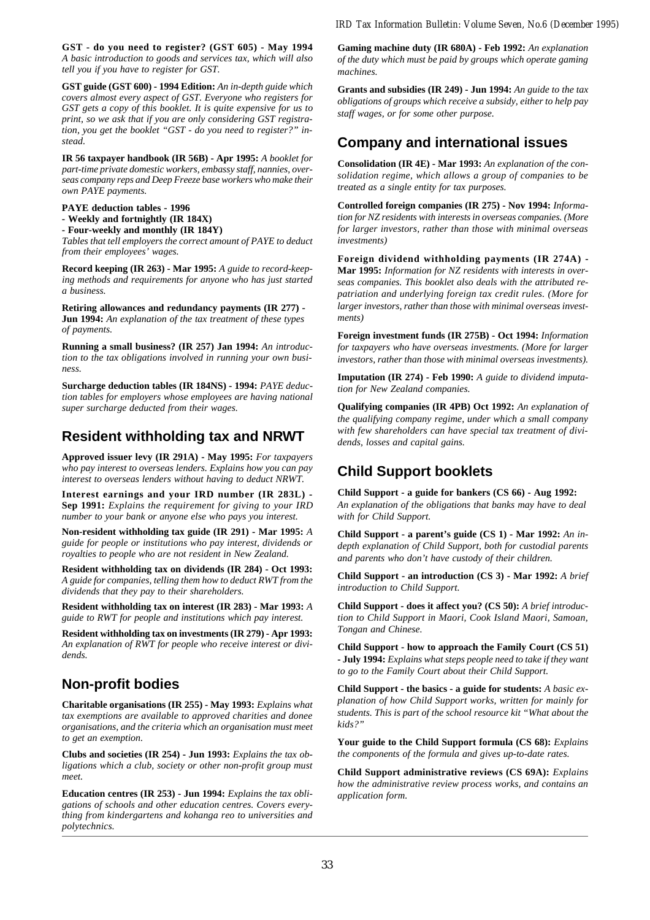**GST - do you need to register? (GST 605) - May 1994** *A basic introduction to goods and services tax, which will also tell you if you have to register for GST.*

**GST guide (GST 600) - 1994 Edition:** *An in-depth guide which covers almost every aspect of GST. Everyone who registers for GST gets a copy of this booklet. It is quite expensive for us to print, so we ask that if you are only considering GST registration, you get the booklet "GST - do you need to register?" instead.*

**IR 56 taxpayer handbook (IR 56B) - Apr 1995:** *A booklet for part-time private domestic workers, embassy staff, nannies, overseas company reps and Deep Freeze base workers who make their own PAYE payments.*

#### **PAYE deduction tables - 1996 - Weekly and fortnightly (IR 184X)**

**- Four-weekly and monthly (IR 184Y)**

*Tables that tell employers the correct amount of PAYE to deduct from their employees' wages.*

**Record keeping (IR 263) - Mar 1995:** *A guide to record-keeping methods and requirements for anyone who has just started a business.*

**Retiring allowances and redundancy payments (IR 277) - Jun 1994:** *An explanation of the tax treatment of these types of payments.*

**Running a small business? (IR 257) Jan 1994:** *An introduction to the tax obligations involved in running your own business.*

**Surcharge deduction tables (IR 184NS) - 1994:** *PAYE deduction tables for employers whose employees are having national super surcharge deducted from their wages.*

## **Resident withholding tax and NRWT**

**Approved issuer levy (IR 291A) - May 1995:** *For taxpayers who pay interest to overseas lenders. Explains how you can pay interest to overseas lenders without having to deduct NRWT.*

**Interest earnings and your IRD number (IR 283L) - Sep 1991:** *Explains the requirement for giving to your IRD number to your bank or anyone else who pays you interest.*

**Non-resident withholding tax guide (IR 291) - Mar 1995:** *A guide for people or institutions who pay interest, dividends or royalties to people who are not resident in New Zealand.*

**Resident withholding tax on dividends (IR 284) - Oct 1993:** *A guide for companies, telling them how to deduct RWT from the dividends that they pay to their shareholders.*

**Resident withholding tax on interest (IR 283) - Mar 1993:** *A guide to RWT for people and institutions which pay interest.*

**Resident withholding tax on investments (IR 279) - Apr 1993:** *An explanation of RWT for people who receive interest or dividends.*

## **Non-profit bodies**

**Charitable organisations (IR 255) - May 1993:** *Explains what tax exemptions are available to approved charities and donee organisations, and the criteria which an organisation must meet to get an exemption.*

**Clubs and societies (IR 254) - Jun 1993:** *Explains the tax obligations which a club, society or other non-profit group must meet.*

**Education centres (IR 253) - Jun 1994:** *Explains the tax obligations of schools and other education centres. Covers everything from kindergartens and kohanga reo to universities and polytechnics.*

**Gaming machine duty (IR 680A) - Feb 1992:** *An explanation of the duty which must be paid by groups which operate gaming machines.*

**Grants and subsidies (IR 249) - Jun 1994:** *An guide to the tax obligations of groups which receive a subsidy, either to help pay staff wages, or for some other purpose.*

## **Company and international issues**

**Consolidation (IR 4E) - Mar 1993:** *An explanation of the consolidation regime, which allows a group of companies to be treated as a single entity for tax purposes.*

**Controlled foreign companies (IR 275) - Nov 1994:** *Information for NZ residents with interests in overseas companies. (More for larger investors, rather than those with minimal overseas investments)*

**Foreign dividend withholding payments (IR 274A) - Mar 1995:** *Information for NZ residents with interests in overseas companies. This booklet also deals with the attributed repatriation and underlying foreign tax credit rules. (More for larger investors, rather than those with minimal overseas investments)*

**Foreign investment funds (IR 275B) - Oct 1994:** *Information for taxpayers who have overseas investments. (More for larger investors, rather than those with minimal overseas investments).*

**Imputation (IR 274) - Feb 1990:** *A guide to dividend imputation for New Zealand companies.*

**Qualifying companies (IR 4PB) Oct 1992:** *An explanation of the qualifying company regime, under which a small company with few shareholders can have special tax treatment of dividends, losses and capital gains.*

## **Child Support booklets**

**Child Support - a guide for bankers (CS 66) - Aug 1992:** *An explanation of the obligations that banks may have to deal with for Child Support.*

**Child Support - a parent's guide (CS 1) - Mar 1992:** *An indepth explanation of Child Support, both for custodial parents and parents who don't have custody of their children.*

**Child Support - an introduction (CS 3) - Mar 1992:** *A brief introduction to Child Support.*

**Child Support - does it affect you? (CS 50):** *A brief introduction to Child Support in Maori, Cook Island Maori, Samoan, Tongan and Chinese.*

**Child Support - how to approach the Family Court (CS 51) - July 1994:** *Explains what steps people need to take if they want to go to the Family Court about their Child Support.*

**Child Support - the basics - a guide for students:** *A basic explanation of how Child Support works, written for mainly for students. This is part of the school resource kit "What about the kids?"*

**Your guide to the Child Support formula (CS 68):** *Explains the components of the formula and gives up-to-date rates.*

**Child Support administrative reviews (CS 69A):** *Explains how the administrative review process works, and contains an application form.*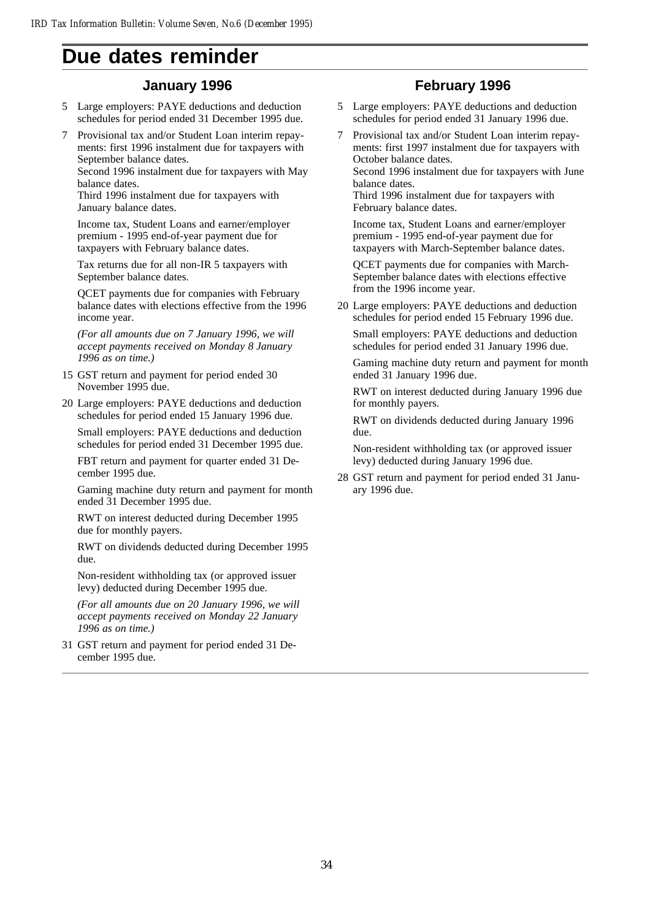## **Due dates reminder**

## **January 1996**

- 5 Large employers: PAYE deductions and deduction schedules for period ended 31 December 1995 due.
- 7 Provisional tax and/or Student Loan interim repayments: first 1996 instalment due for taxpayers with September balance dates.

Second 1996 instalment due for taxpayers with May balance dates.

Third 1996 instalment due for taxpayers with January balance dates.

Income tax, Student Loans and earner/employer premium - 1995 end-of-year payment due for taxpayers with February balance dates.

Tax returns due for all non-IR 5 taxpayers with September balance dates.

QCET payments due for companies with February balance dates with elections effective from the 1996 income year.

*(For all amounts due on 7 January 1996, we will accept payments received on Monday 8 January 1996 as on time.)*

15 GST return and payment for period ended 30 November 1995 due.

20 Large employers: PAYE deductions and deduction schedules for period ended 15 January 1996 due.

Small employers: PAYE deductions and deduction schedules for period ended 31 December 1995 due.

FBT return and payment for quarter ended 31 December 1995 due.

Gaming machine duty return and payment for month ended 31 December 1995 due.

RWT on interest deducted during December 1995 due for monthly payers.

RWT on dividends deducted during December 1995 due.

Non-resident withholding tax (or approved issuer levy) deducted during December 1995 due.

*(For all amounts due on 20 January 1996, we will accept payments received on Monday 22 January 1996 as on time.)*

31 GST return and payment for period ended 31 December 1995 due.

## **February 1996**

- Large employers: PAYE deductions and deduction schedules for period ended 31 January 1996 due.
- 7 Provisional tax and/or Student Loan interim repayments: first 1997 instalment due for taxpayers with October balance dates.

Second 1996 instalment due for taxpayers with June balance dates.

Third 1996 instalment due for taxpayers with February balance dates.

Income tax, Student Loans and earner/employer premium - 1995 end-of-year payment due for taxpayers with March-September balance dates.

QCET payments due for companies with March-September balance dates with elections effective from the 1996 income year.

20 Large employers: PAYE deductions and deduction schedules for period ended 15 February 1996 due.

Small employers: PAYE deductions and deduction schedules for period ended 31 January 1996 due.

Gaming machine duty return and payment for month ended 31 January 1996 due.

RWT on interest deducted during January 1996 due for monthly payers.

RWT on dividends deducted during January 1996 due.

Non-resident withholding tax (or approved issuer levy) deducted during January 1996 due.

28 GST return and payment for period ended 31 January 1996 due.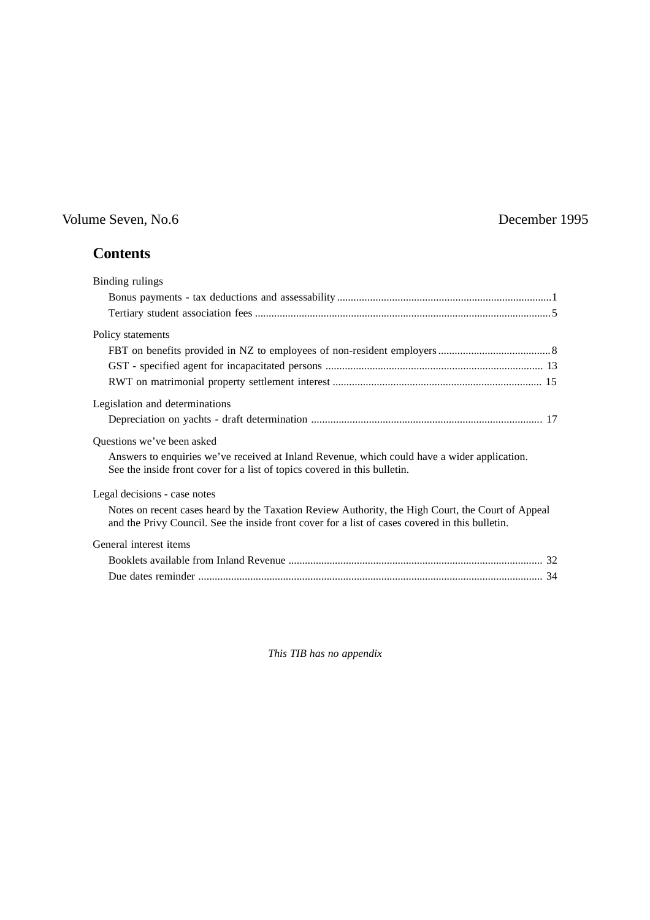## Volume Seven, No.6 December 1995

## **Contents**

| Binding rulings                                                                                                                                                                                      |  |
|------------------------------------------------------------------------------------------------------------------------------------------------------------------------------------------------------|--|
|                                                                                                                                                                                                      |  |
|                                                                                                                                                                                                      |  |
| Policy statements                                                                                                                                                                                    |  |
|                                                                                                                                                                                                      |  |
|                                                                                                                                                                                                      |  |
|                                                                                                                                                                                                      |  |
| Legislation and determinations                                                                                                                                                                       |  |
|                                                                                                                                                                                                      |  |
| Questions we've been asked                                                                                                                                                                           |  |
| Answers to enquiries we've received at Inland Revenue, which could have a wider application.<br>See the inside front cover for a list of topics covered in this bulletin.                            |  |
| Legal decisions - case notes                                                                                                                                                                         |  |
| Notes on recent cases heard by the Taxation Review Authority, the High Court, the Court of Appeal<br>and the Privy Council. See the inside front cover for a list of cases covered in this bulletin. |  |
| General interest items                                                                                                                                                                               |  |
|                                                                                                                                                                                                      |  |
|                                                                                                                                                                                                      |  |

*This TIB has no appendix*